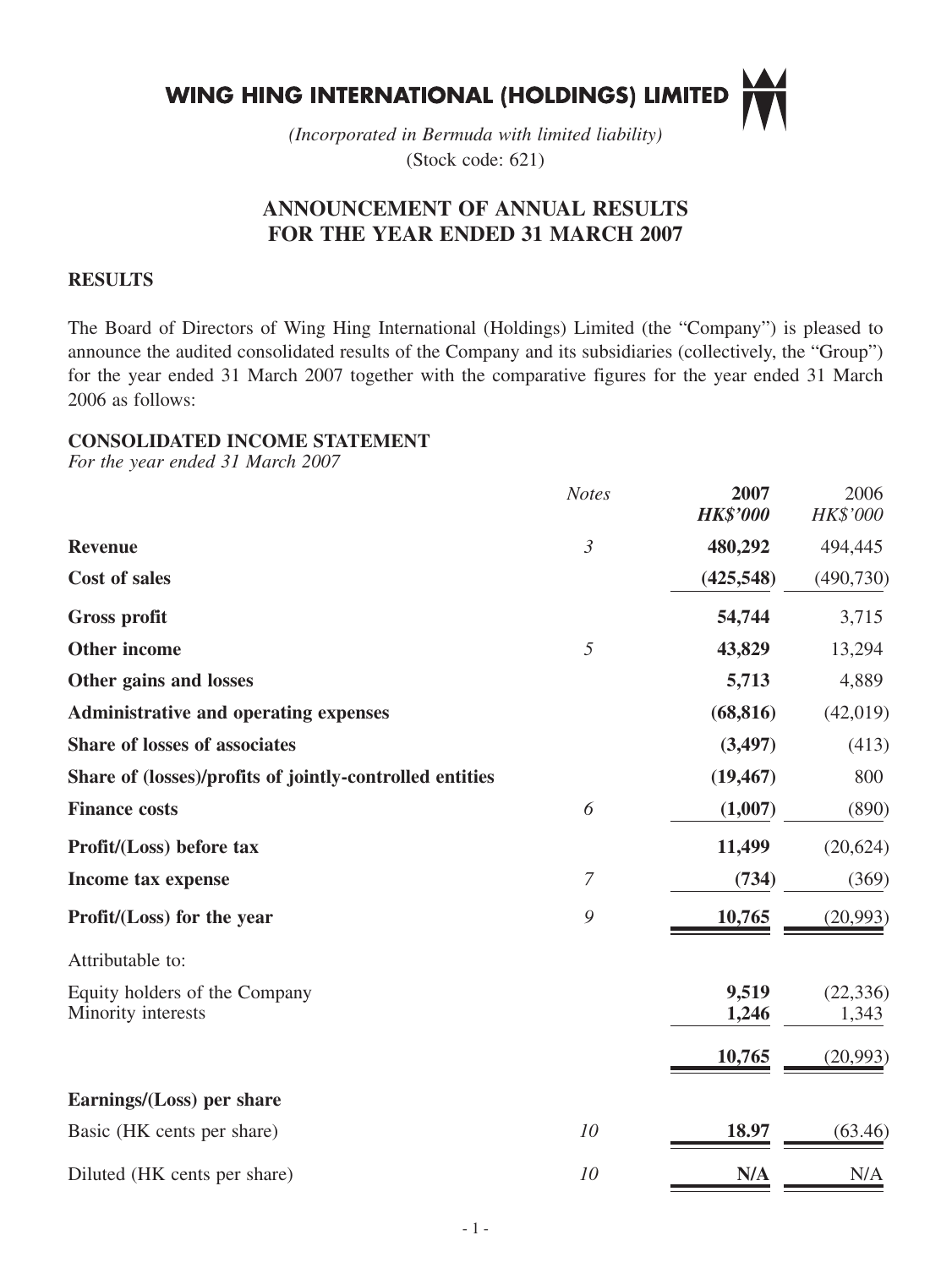

*(Incorporated in Bermuda with limited liability)* (Stock code: 621)

# **ANNOUNCEMENT OF ANNUAL RESULTS FOR THE YEAR ENDED 31 MARCH 2007**

## **RESULTS**

The Board of Directors of Wing Hing International (Holdings) Limited (the "Company") is pleased to announce the audited consolidated results of the Company and its subsidiaries (collectively, the "Group") for the year ended 31 March 2007 together with the comparative figures for the year ended 31 March 2006 as follows:

## **CONSOLIDATED INCOME STATEMENT**

*For the year ended 31 March 2007*

|                                                          | <b>Notes</b>   | 2007<br><b>HK\$'000</b> | 2006<br>HK\$'000   |
|----------------------------------------------------------|----------------|-------------------------|--------------------|
| <b>Revenue</b>                                           | $\mathfrak{Z}$ | 480,292                 | 494,445            |
| <b>Cost of sales</b>                                     |                | (425,548)               | (490, 730)         |
| <b>Gross profit</b>                                      |                | 54,744                  | 3,715              |
| Other income                                             | 5              | 43,829                  | 13,294             |
| Other gains and losses                                   |                | 5,713                   | 4,889              |
| <b>Administrative and operating expenses</b>             |                | (68, 816)               | (42,019)           |
| Share of losses of associates                            |                | (3,497)                 | (413)              |
| Share of (losses)/profits of jointly-controlled entities |                | (19, 467)               | 800                |
| <b>Finance costs</b>                                     | 6              | (1,007)                 | (890)              |
| Profit/(Loss) before tax                                 |                | 11,499                  | (20, 624)          |
| Income tax expense                                       | $\overline{7}$ | (734)                   | (369)              |
| Profit/(Loss) for the year                               | 9              | 10,765                  | (20,993)           |
| Attributable to:                                         |                |                         |                    |
| Equity holders of the Company<br>Minority interests      |                | 9,519<br>1,246          | (22, 336)<br>1,343 |
|                                                          |                | 10,765                  | (20,993)           |
| Earnings/(Loss) per share                                |                |                         |                    |
| Basic (HK cents per share)                               | 10             | 18.97                   | (63.46)            |
| Diluted (HK cents per share)                             | 10             | N/A                     | N/A                |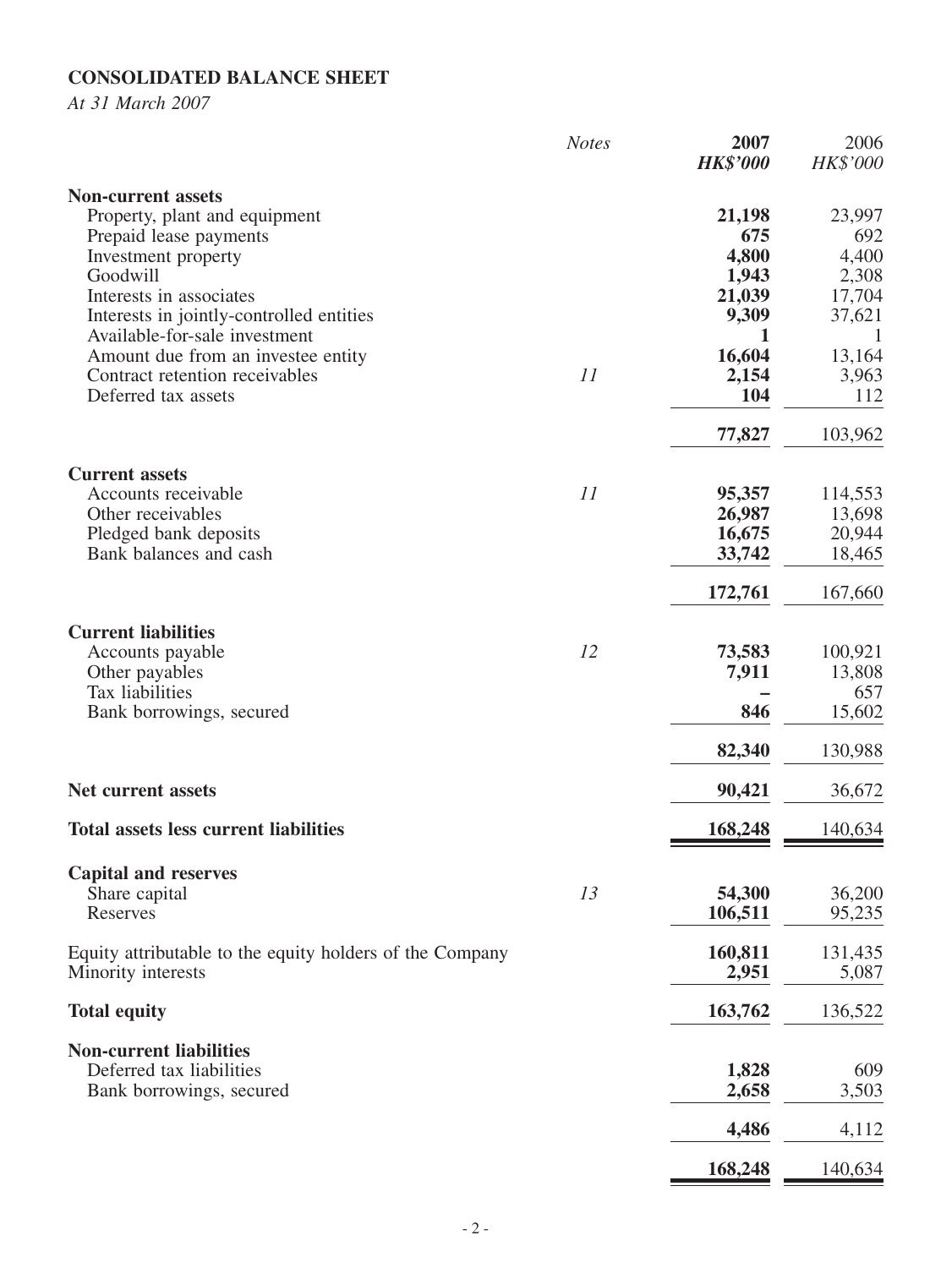# **CONSOLIDATED BALANCE SHEET**

*At 31 March 2007*

|                                                                           | <b>Notes</b> | 2007<br><b>HK\$'000</b> | 2006<br>HK\$'000 |
|---------------------------------------------------------------------------|--------------|-------------------------|------------------|
| <b>Non-current assets</b><br>Property, plant and equipment                |              | 21,198                  | 23,997           |
| Prepaid lease payments                                                    |              | 675                     | 692              |
| Investment property                                                       |              | 4,800                   | 4,400            |
| Goodwill                                                                  |              | 1,943                   | 2,308            |
| Interests in associates                                                   |              | 21,039                  | 17,704           |
| Interests in jointly-controlled entities<br>Available-for-sale investment |              | 9,309<br>1              | 37,621           |
| Amount due from an investee entity                                        |              | 16,604                  | 13,164           |
| Contract retention receivables                                            | 11           | 2,154                   | 3,963            |
| Deferred tax assets                                                       |              | 104                     | 112              |
|                                                                           |              | 77,827                  | 103,962          |
| <b>Current assets</b>                                                     |              |                         |                  |
| Accounts receivable                                                       | 11           | 95,357                  | 114,553          |
| Other receivables                                                         |              | 26,987                  | 13,698           |
| Pledged bank deposits                                                     |              | 16,675                  | 20,944           |
| Bank balances and cash                                                    |              | 33,742                  | 18,465           |
|                                                                           |              | 172,761                 | 167,660          |
| <b>Current liabilities</b>                                                |              |                         |                  |
| Accounts payable                                                          | 12           | 73,583                  | 100,921          |
| Other payables                                                            |              | 7,911                   | 13,808           |
| Tax liabilities                                                           |              |                         | 657              |
| Bank borrowings, secured                                                  |              | 846                     | 15,602           |
|                                                                           |              | 82,340                  | 130,988          |
| Net current assets                                                        |              | 90,421                  | 36,672           |
| <b>Total assets less current liabilities</b>                              |              | 168,248                 | 140,634          |
| <b>Capital and reserves</b>                                               |              |                         |                  |
| Share capital                                                             | 13           | 54,300                  | 36,200           |
| Reserves                                                                  |              | 106,511                 | 95,235           |
| Equity attributable to the equity holders of the Company                  |              | 160,811                 | 131,435          |
| Minority interests                                                        |              | 2,951                   | 5,087            |
| <b>Total equity</b>                                                       |              | 163,762                 | 136,522          |
| <b>Non-current liabilities</b>                                            |              |                         |                  |
| Deferred tax liabilities                                                  |              | 1,828                   | 609              |
| Bank borrowings, secured                                                  |              | 2,658                   | 3,503            |
|                                                                           |              | 4,486                   | 4,112            |
|                                                                           |              |                         |                  |
|                                                                           |              | 168,248                 | 140,634          |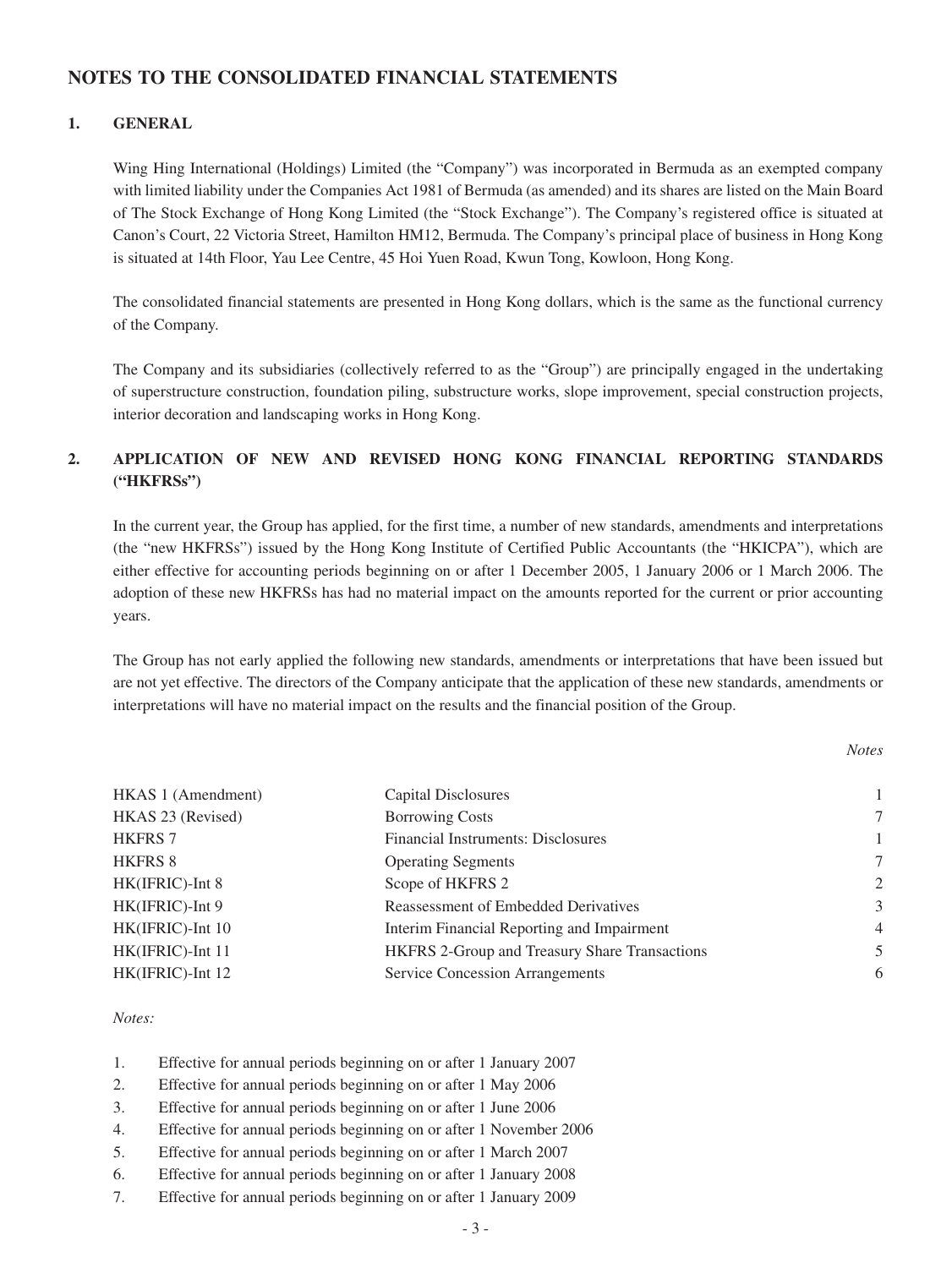### **NOTES TO THE CONSOLIDATED FINANCIAL STATEMENTS**

### **1. GENERAL**

Wing Hing International (Holdings) Limited (the "Company") was incorporated in Bermuda as an exempted company with limited liability under the Companies Act 1981 of Bermuda (as amended) and its shares are listed on the Main Board of The Stock Exchange of Hong Kong Limited (the "Stock Exchange"). The Company's registered office is situated at Canon's Court, 22 Victoria Street, Hamilton HM12, Bermuda. The Company's principal place of business in Hong Kong is situated at 14th Floor, Yau Lee Centre, 45 Hoi Yuen Road, Kwun Tong, Kowloon, Hong Kong.

The consolidated financial statements are presented in Hong Kong dollars, which is the same as the functional currency of the Company.

The Company and its subsidiaries (collectively referred to as the "Group") are principally engaged in the undertaking of superstructure construction, foundation piling, substructure works, slope improvement, special construction projects, interior decoration and landscaping works in Hong Kong.

### **2. APPLICATION OF NEW AND REVISED HONG KONG FINANCIAL REPORTING STANDARDS ("HKFRSs")**

In the current year, the Group has applied, for the first time, a number of new standards, amendments and interpretations (the "new HKFRSs") issued by the Hong Kong Institute of Certified Public Accountants (the "HKICPA"), which are either effective for accounting periods beginning on or after 1 December 2005, 1 January 2006 or 1 March 2006. The adoption of these new HKFRSs has had no material impact on the amounts reported for the current or prior accounting years.

The Group has not early applied the following new standards, amendments or interpretations that have been issued but are not yet effective. The directors of the Company anticipate that the application of these new standards, amendments or interpretations will have no material impact on the results and the financial position of the Group.

*Notes*

| HKAS 1 (Amendment) | Capital Disclosures                           |                |
|--------------------|-----------------------------------------------|----------------|
| HKAS 23 (Revised)  | <b>Borrowing Costs</b>                        | 7              |
| <b>HKFRS 7</b>     | Financial Instruments: Disclosures            |                |
| <b>HKFRS 8</b>     | <b>Operating Segments</b>                     | 7              |
| HK(IFRIC)-Int 8    | Scope of HKFRS 2                              | $\overline{2}$ |
| HK(IFRIC)-Int 9    | Reassessment of Embedded Derivatives          | 3              |
| HK(IFRIC)-Int 10   | Interim Financial Reporting and Impairment    | 4              |
| HK(IFRIC)-Int 11   | HKFRS 2-Group and Treasury Share Transactions | 5              |
| HK(IFRIC)-Int 12   | Service Concession Arrangements               | 6              |
|                    |                                               |                |

*Notes:*

- 1. Effective for annual periods beginning on or after 1 January 2007
- 2. Effective for annual periods beginning on or after 1 May 2006
- 3. Effective for annual periods beginning on or after 1 June 2006
- 4. Effective for annual periods beginning on or after 1 November 2006
- 5. Effective for annual periods beginning on or after 1 March 2007
- 6. Effective for annual periods beginning on or after 1 January 2008
- 7. Effective for annual periods beginning on or after 1 January 2009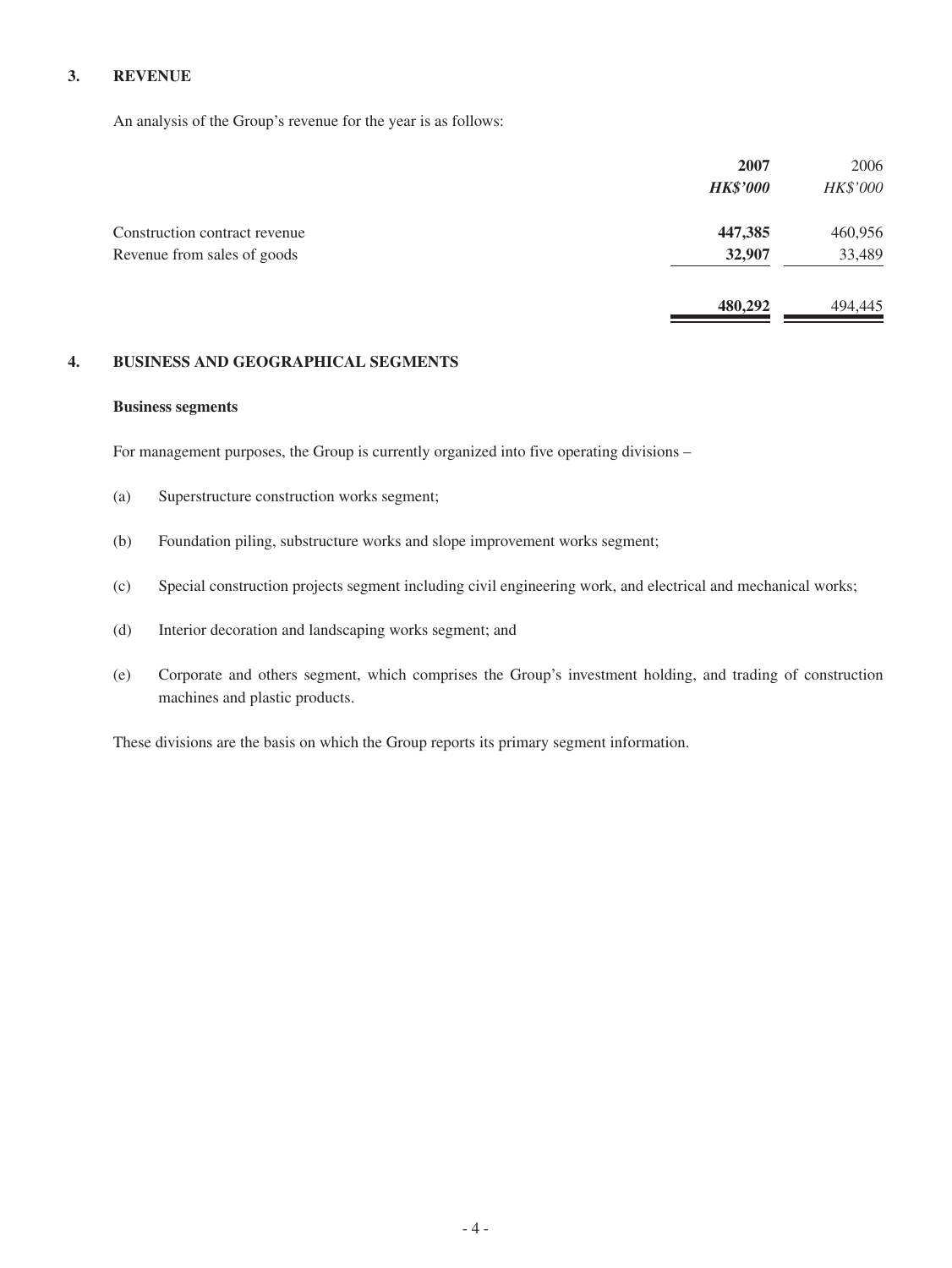#### **3. REVENUE**

An analysis of the Group's revenue for the year is as follows:

|                               | 2007            | 2006     |
|-------------------------------|-----------------|----------|
|                               | <b>HK\$'000</b> | HK\$'000 |
| Construction contract revenue | 447,385         | 460,956  |
| Revenue from sales of goods   | 32,907          | 33,489   |
|                               | 480,292         | 494,445  |

#### **4. BUSINESS AND GEOGRAPHICAL SEGMENTS**

#### **Business segments**

For management purposes, the Group is currently organized into five operating divisions –

- (a) Superstructure construction works segment;
- (b) Foundation piling, substructure works and slope improvement works segment;
- (c) Special construction projects segment including civil engineering work, and electrical and mechanical works;
- (d) Interior decoration and landscaping works segment; and
- (e) Corporate and others segment, which comprises the Group's investment holding, and trading of construction machines and plastic products.

These divisions are the basis on which the Group reports its primary segment information.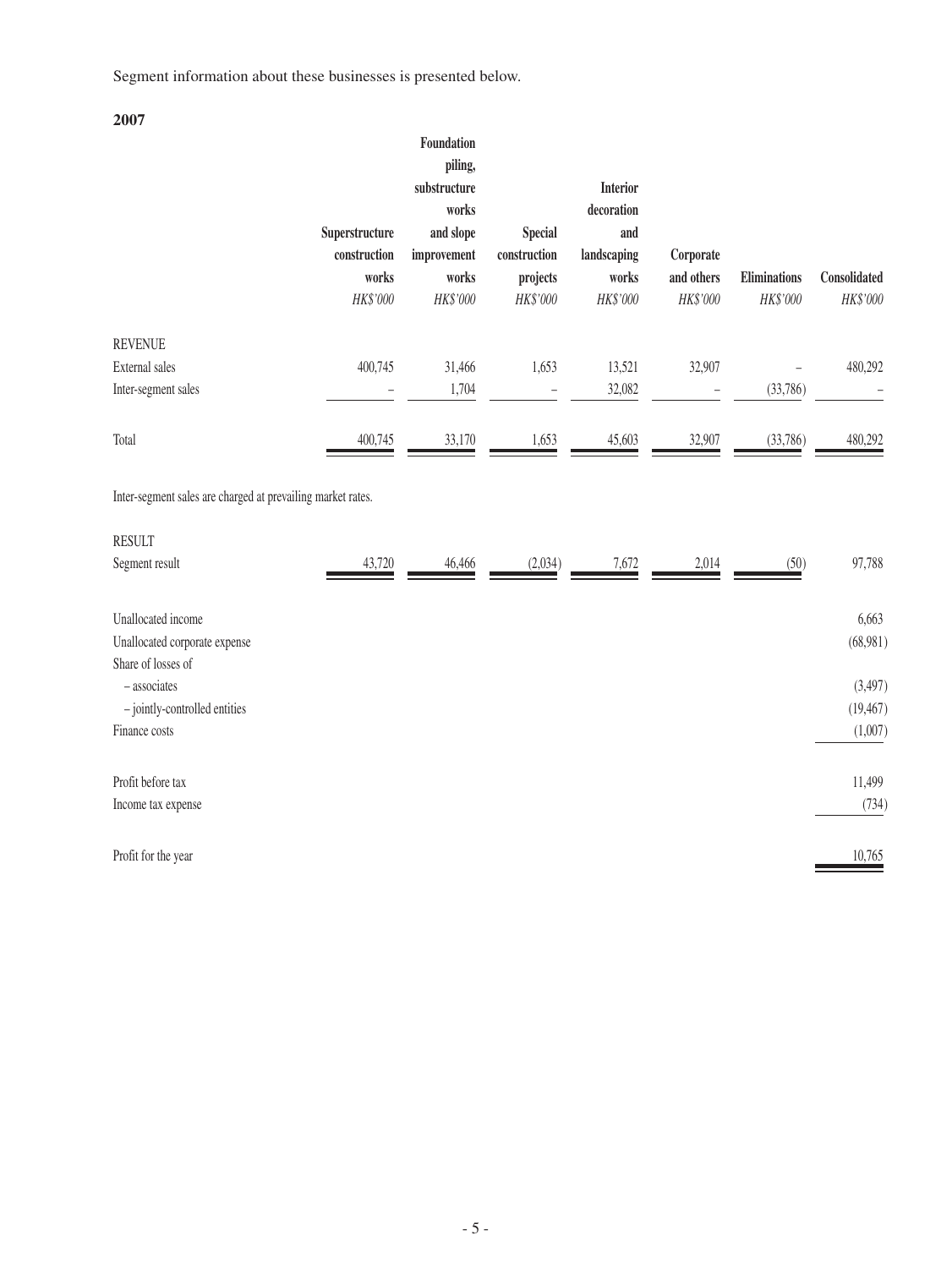Segment information about these businesses is presented below.

**2007**

|                                                             |                | Foundation<br>piling, |                |                 |            |                     |              |
|-------------------------------------------------------------|----------------|-----------------------|----------------|-----------------|------------|---------------------|--------------|
|                                                             |                | substructure          |                | <b>Interior</b> |            |                     |              |
|                                                             |                | works                 |                | decoration      |            |                     |              |
|                                                             | Superstructure | and slope             | <b>Special</b> | and             |            |                     |              |
|                                                             | construction   | improvement           | construction   | landscaping     | Corporate  |                     |              |
|                                                             | works          | works                 | projects       | works           | and others | <b>Eliminations</b> | Consolidated |
|                                                             | HK\$'000       | HK\$'000              | HK\$'000       | HK\$'000        | HK\$'000   | HK\$'000            | HK\$'000     |
| <b>REVENUE</b>                                              |                |                       |                |                 |            |                     |              |
| External sales                                              | 400,745        | 31,466                | 1,653          | 13,521          | 32,907     |                     | 480,292      |
| Inter-segment sales                                         |                | 1,704                 |                | 32,082          |            | (33,786)            |              |
| Total                                                       | 400,745        | 33,170                | 1,653          | 45,603          | 32,907     | (33,786)            | 480,292      |
| Inter-segment sales are charged at prevailing market rates. |                |                       |                |                 |            |                     |              |
| <b>RESULT</b>                                               |                |                       |                |                 |            |                     |              |
| Segment result                                              | 43,720         | 46,466                | (2,034)        | 7,672           | 2,014      | (50)                | 97,788       |
| Unallocated income                                          |                |                       |                |                 |            |                     | 6,663        |
| Unallocated corporate expense<br>Share of losses of         |                |                       |                |                 |            |                     | (68,981)     |
| - associates                                                |                |                       |                |                 |            |                     | (3,497)      |
| - jointly-controlled entities                               |                |                       |                |                 |            |                     | (19, 467)    |
| Finance costs                                               |                |                       |                |                 |            |                     | (1,007)      |
| Profit before tax                                           |                |                       |                |                 |            |                     | 11,499       |
| Income tax expense                                          |                |                       |                |                 |            |                     | (734)        |
| Profit for the year                                         |                |                       |                |                 |            |                     | 10,765       |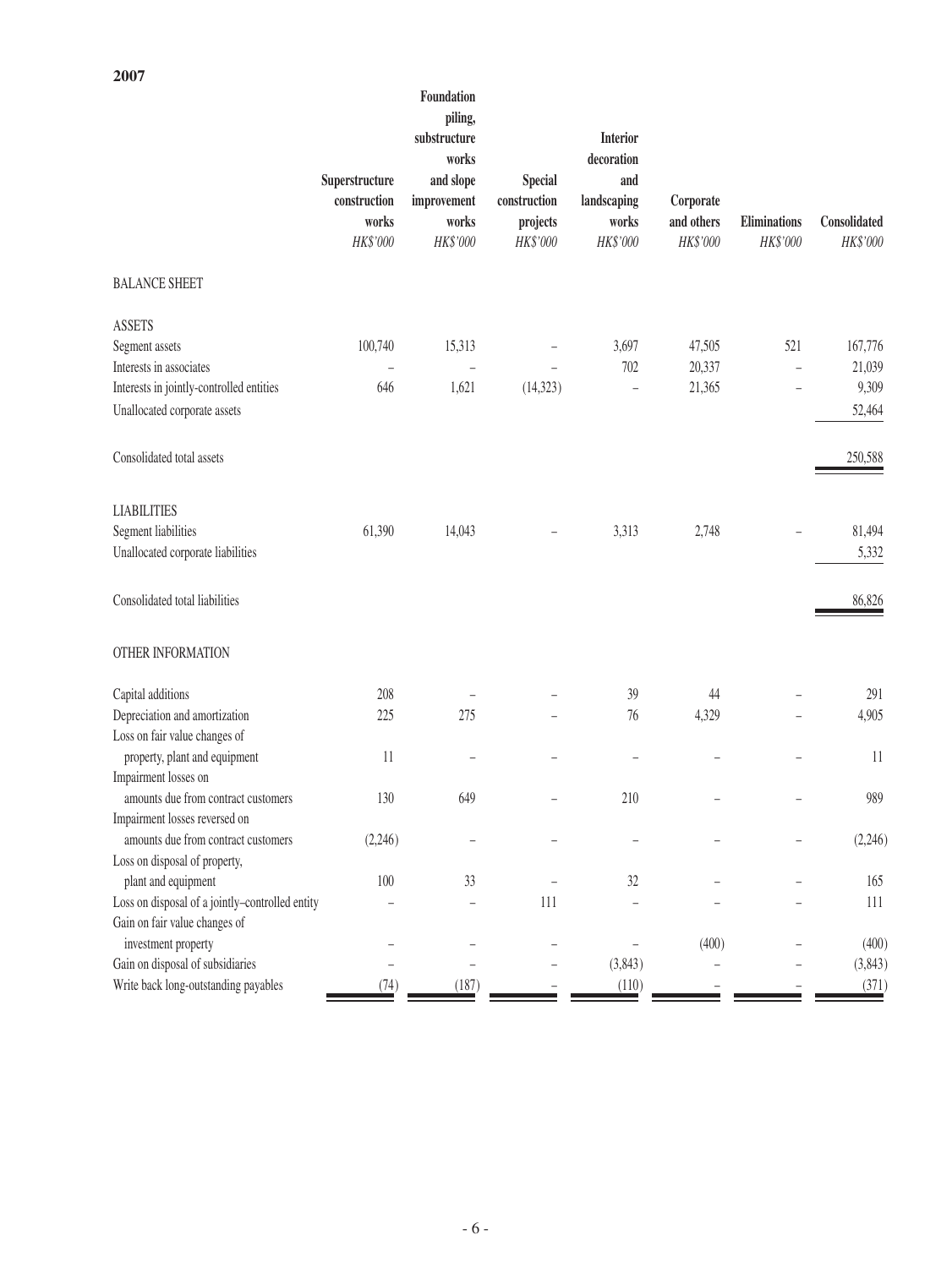|                                                                        | Superstructure<br>construction<br>works<br>HK\$'000 | Foundation<br>piling,<br>substructure<br>works<br>and slope<br>improvement<br>works<br>HK\$'000 | <b>Special</b><br>construction<br>projects<br>HK\$'000 | <b>Interior</b><br>decoration<br>and<br>landscaping<br>works<br>HK\$'000 | Corporate<br>and others<br>HK\$'000 | Eliminations<br>HK\$'000 | Consolidated<br>HK\$'000 |
|------------------------------------------------------------------------|-----------------------------------------------------|-------------------------------------------------------------------------------------------------|--------------------------------------------------------|--------------------------------------------------------------------------|-------------------------------------|--------------------------|--------------------------|
| <b>BALANCE SHEET</b>                                                   |                                                     |                                                                                                 |                                                        |                                                                          |                                     |                          |                          |
| <b>ASSETS</b>                                                          |                                                     |                                                                                                 |                                                        |                                                                          |                                     |                          |                          |
| Segment assets                                                         | 100,740                                             | 15,313                                                                                          |                                                        | 3,697                                                                    | 47,505                              | 521                      | 167,776                  |
| Interests in associates                                                | Ĭ.                                                  | $\overline{\phantom{0}}$                                                                        |                                                        | 702                                                                      | 20,337                              | $\overline{\phantom{0}}$ | 21,039                   |
| Interests in jointly-controlled entities                               | 646                                                 | 1,621                                                                                           | (14, 323)                                              | $\overline{\phantom{0}}$                                                 | 21,365                              |                          | 9,309                    |
| Unallocated corporate assets                                           |                                                     |                                                                                                 |                                                        |                                                                          |                                     |                          | 52,464                   |
| Consolidated total assets                                              |                                                     |                                                                                                 |                                                        |                                                                          |                                     |                          | 250,588                  |
| <b>LIABILITIES</b>                                                     |                                                     |                                                                                                 |                                                        |                                                                          |                                     |                          |                          |
| Segment liabilities                                                    | 61,390                                              | 14,043                                                                                          |                                                        | 3,313                                                                    | 2,748                               |                          | 81,494                   |
| Unallocated corporate liabilities                                      |                                                     |                                                                                                 |                                                        |                                                                          |                                     |                          | 5,332                    |
| Consolidated total liabilities                                         |                                                     |                                                                                                 |                                                        |                                                                          |                                     |                          | 86,826                   |
| OTHER INFORMATION                                                      |                                                     |                                                                                                 |                                                        |                                                                          |                                     |                          |                          |
| Capital additions                                                      | 208                                                 |                                                                                                 |                                                        | 39                                                                       | 44                                  |                          | 291                      |
| Depreciation and amortization                                          | 225                                                 | 275                                                                                             |                                                        | 76                                                                       | 4,329                               |                          | 4,905                    |
| Loss on fair value changes of                                          |                                                     |                                                                                                 |                                                        |                                                                          |                                     |                          |                          |
| property, plant and equipment                                          | 11                                                  |                                                                                                 |                                                        | ۳                                                                        | $\overline{\phantom{0}}$            | -                        | 11                       |
| Impairment losses on                                                   |                                                     |                                                                                                 |                                                        |                                                                          |                                     |                          |                          |
| amounts due from contract customers                                    | 130                                                 | 649                                                                                             |                                                        | 210                                                                      |                                     |                          | 989                      |
| Impairment losses reversed on                                          |                                                     |                                                                                                 |                                                        |                                                                          |                                     |                          |                          |
| amounts due from contract customers                                    | (2,246)                                             |                                                                                                 |                                                        |                                                                          |                                     |                          | (2,246)                  |
| Loss on disposal of property,                                          |                                                     |                                                                                                 |                                                        |                                                                          |                                     |                          |                          |
| plant and equipment<br>Loss on disposal of a jointly-controlled entity | 100                                                 | 33                                                                                              | 111                                                    | 32                                                                       |                                     |                          | 165<br>$111\,$           |
| Gain on fair value changes of                                          |                                                     |                                                                                                 |                                                        |                                                                          |                                     |                          |                          |
| investment property                                                    |                                                     |                                                                                                 |                                                        |                                                                          | (400)                               |                          | (400)                    |
| Gain on disposal of subsidiaries                                       |                                                     |                                                                                                 |                                                        | (3, 843)                                                                 |                                     |                          | (3,843)                  |
| Write back long-outstanding payables                                   | (74)                                                | (187)                                                                                           |                                                        | (110)                                                                    |                                     |                          | (371)                    |
|                                                                        |                                                     |                                                                                                 |                                                        |                                                                          |                                     |                          |                          |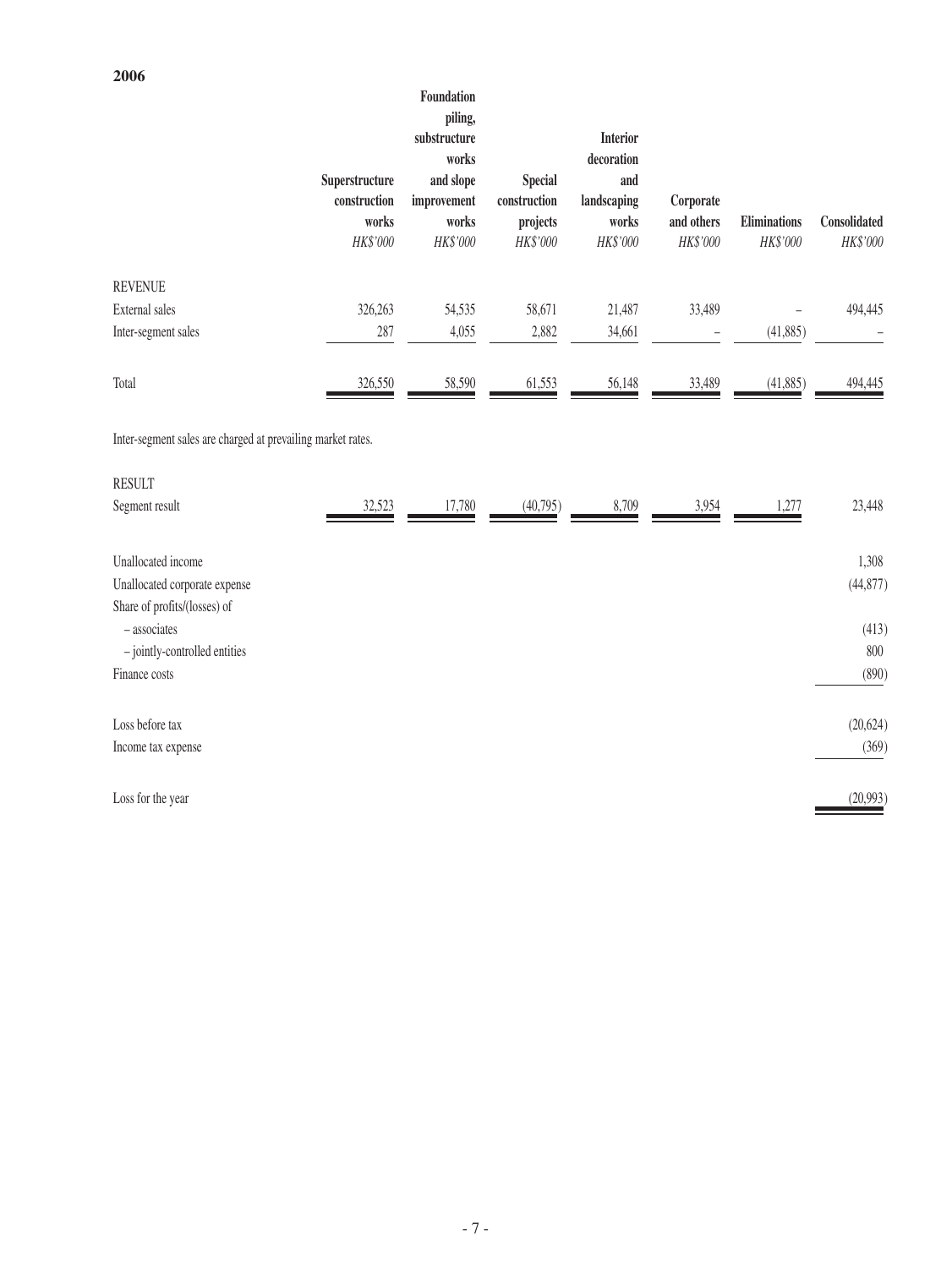## **2006**

|                                                               |                                | Foundation<br>piling,<br>substructure<br>works |                                | <b>Interior</b><br>decoration |                |                     |              |
|---------------------------------------------------------------|--------------------------------|------------------------------------------------|--------------------------------|-------------------------------|----------------|---------------------|--------------|
|                                                               | Superstructure<br>construction | and slope<br>improvement                       | <b>Special</b><br>construction | and<br>landscaping            | Corporate      |                     |              |
|                                                               | works                          | works                                          | projects                       | works                         | and others     | <b>Eliminations</b> | Consolidated |
|                                                               | HK\$'000                       | HK\$'000                                       | HK\$'000                       | HK\$'000                      | HK\$'000       | HK\$'000            | HK\$'000     |
| <b>REVENUE</b>                                                |                                |                                                |                                |                               |                |                     |              |
| External sales                                                | 326,263                        | 54,535                                         | 58,671                         | 21,487                        | 33,489         |                     | 494,445      |
| Inter-segment sales                                           | 287                            | 4,055                                          | 2,882                          | 34,661                        | $\overline{a}$ | (41, 885)           |              |
| Total                                                         | 326,550                        | 58,590                                         | 61,553                         | 56,148                        | 33,489         | (41, 885)           | 494,445      |
| Inter-segment sales are charged at prevailing market rates.   |                                |                                                |                                |                               |                |                     |              |
| <b>RESULT</b>                                                 |                                |                                                |                                |                               |                |                     |              |
| Segment result                                                | 32,523                         | 17,780                                         | (40,795)                       | 8,709                         | 3,954          | 1,277               | 23,448       |
| Unallocated income                                            |                                |                                                |                                |                               |                |                     | 1,308        |
| Unallocated corporate expense<br>Share of profits/(losses) of |                                |                                                |                                |                               |                |                     | (44, 877)    |
| - associates                                                  |                                |                                                |                                |                               |                |                     | (413)        |
| - jointly-controlled entities                                 |                                |                                                |                                |                               |                |                     | 800          |
| Finance costs                                                 |                                |                                                |                                |                               |                |                     | (890)        |
| Loss before tax                                               |                                |                                                |                                |                               |                |                     | (20, 624)    |
| Income tax expense                                            |                                |                                                |                                |                               |                |                     | (369)        |

 $\frac{(20,993)}{2}$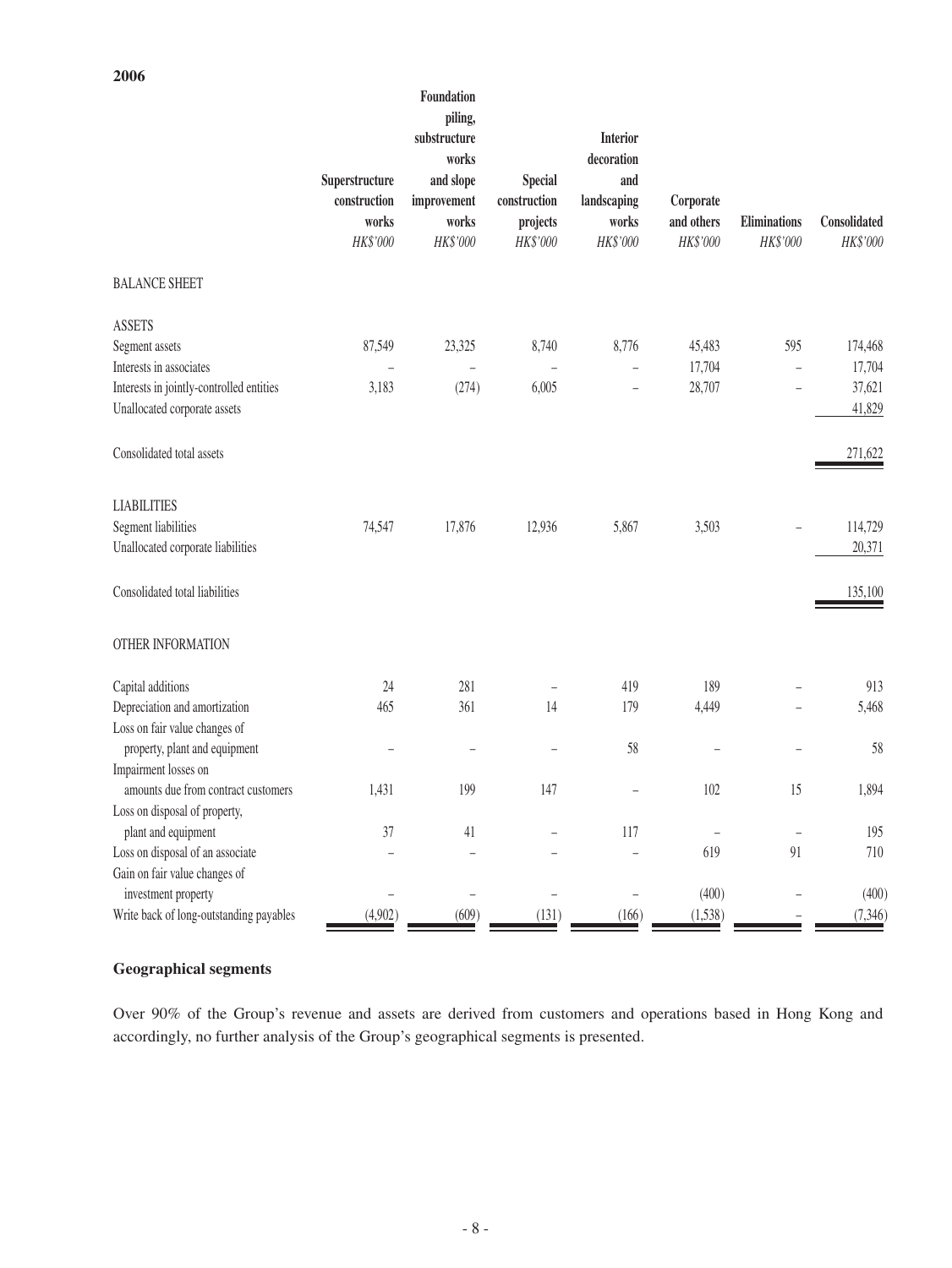|                                          | Superstructure<br>construction<br>works | Foundation<br>piling,<br>substructure<br>works<br>and slope<br>improvement<br>works | <b>Special</b><br>construction<br>projects | <b>Interior</b><br>decoration<br>and<br>landscaping<br>works | Corporate<br>and others  | Eliminations             | Consolidated |
|------------------------------------------|-----------------------------------------|-------------------------------------------------------------------------------------|--------------------------------------------|--------------------------------------------------------------|--------------------------|--------------------------|--------------|
|                                          | HK\$'000                                | HK\$'000                                                                            | HK\$'000                                   | HK\$'000                                                     | HK\$'000                 | HK\$'000                 | HK\$'000     |
| <b>BALANCE SHEET</b>                     |                                         |                                                                                     |                                            |                                                              |                          |                          |              |
| <b>ASSETS</b>                            |                                         |                                                                                     |                                            |                                                              |                          |                          |              |
| Segment assets                           | 87,549                                  | 23,325                                                                              | 8,740                                      | 8,776                                                        | 45,483                   | 595                      | 174,468      |
| Interests in associates                  | $\overline{\phantom{0}}$                | $\qquad \qquad -$                                                                   |                                            | $\qquad \qquad -$                                            | 17,704                   | $\overline{\phantom{0}}$ | 17,704       |
| Interests in jointly-controlled entities | 3,183                                   | (274)                                                                               | 6,005                                      |                                                              | 28,707                   |                          | 37,621       |
| Unallocated corporate assets             |                                         |                                                                                     |                                            |                                                              |                          |                          | 41,829       |
| Consolidated total assets                |                                         |                                                                                     |                                            |                                                              |                          |                          | 271,622      |
| <b>LIABILITIES</b>                       |                                         |                                                                                     |                                            |                                                              |                          |                          |              |
| Segment liabilities                      | 74,547                                  | 17,876                                                                              | 12,936                                     | 5,867                                                        | 3,503                    |                          | 114,729      |
| Unallocated corporate liabilities        |                                         |                                                                                     |                                            |                                                              |                          |                          | 20,371       |
| Consolidated total liabilities           |                                         |                                                                                     |                                            |                                                              |                          |                          | 135,100      |
| OTHER INFORMATION                        |                                         |                                                                                     |                                            |                                                              |                          |                          |              |
| Capital additions                        | 24                                      | 281                                                                                 | $\qquad \qquad -$                          | 419                                                          | 189                      |                          | 913          |
| Depreciation and amortization            | 465                                     | 361                                                                                 | 14                                         | 179                                                          | 4,449                    |                          | 5,468        |
| Loss on fair value changes of            |                                         |                                                                                     |                                            |                                                              |                          |                          |              |
| property, plant and equipment            | -                                       | ÷                                                                                   | L.                                         | 58                                                           | $\overline{\phantom{0}}$ | L.                       | 58           |
| Impairment losses on                     |                                         |                                                                                     |                                            |                                                              |                          |                          |              |
| amounts due from contract customers      | 1,431                                   | 199                                                                                 | 147                                        | $\qquad \qquad -$                                            | 102                      | 15                       | 1,894        |
| Loss on disposal of property,            |                                         |                                                                                     |                                            |                                                              |                          |                          |              |
| plant and equipment                      | 37                                      | 41                                                                                  |                                            | 117                                                          |                          |                          | 195          |
| Loss on disposal of an associate         |                                         |                                                                                     |                                            |                                                              | 619                      | 91                       | $710\,$      |
| Gain on fair value changes of            |                                         |                                                                                     |                                            |                                                              |                          |                          |              |
| investment property                      |                                         |                                                                                     |                                            |                                                              | (400)                    |                          | (400)        |
| Write back of long-outstanding payables  | (4,902)                                 | (609)                                                                               | (131)                                      | (166)                                                        | (1,538)                  |                          | (7, 346)     |

## **Geographical segments**

**2006**

Over 90% of the Group's revenue and assets are derived from customers and operations based in Hong Kong and accordingly, no further analysis of the Group's geographical segments is presented.

 $-8-$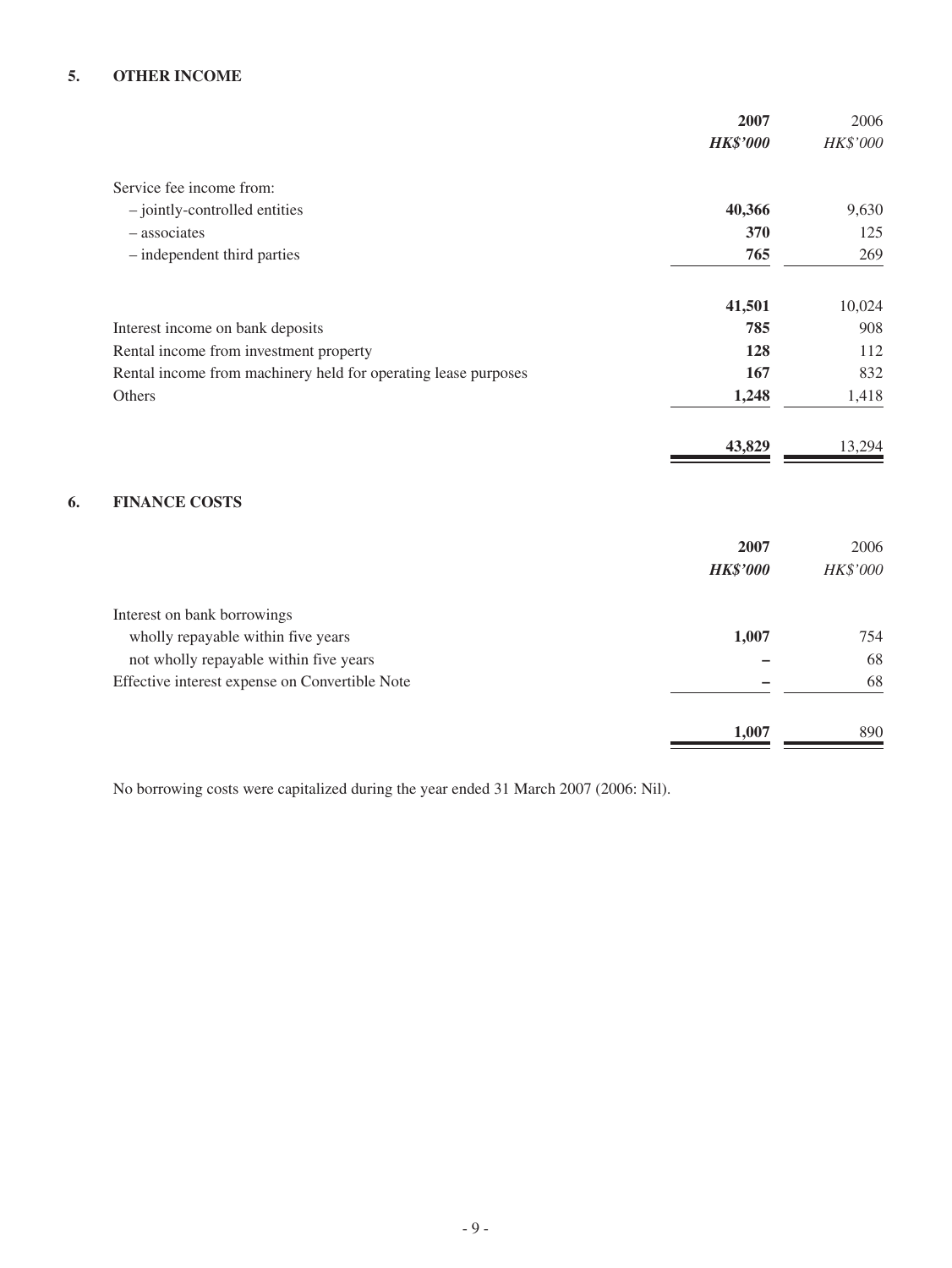# **5. OTHER INCOME**

|                                                                | 2007            | 2006     |
|----------------------------------------------------------------|-----------------|----------|
|                                                                | <b>HK\$'000</b> | HK\$'000 |
| Service fee income from:                                       |                 |          |
| - jointly-controlled entities                                  | 40,366          | 9,630    |
| - associates                                                   | 370             | 125      |
| - independent third parties                                    | 765             | 269      |
|                                                                | 41,501          | 10,024   |
| Interest income on bank deposits                               | 785             | 908      |
| Rental income from investment property                         | 128             | 112      |
| Rental income from machinery held for operating lease purposes | 167             | 832      |
| Others                                                         | 1,248           | 1,418    |
|                                                                | 43,829          | 13,294   |
| <b>FINANCE COSTS</b>                                           |                 |          |
|                                                                | 2007            | 2006     |
|                                                                | <b>HK\$'000</b> | HK\$'000 |
| Interest on bank borrowings                                    |                 |          |
| wholly repayable within five years                             | 1,007           | 754      |
| not wholly repayable within five years                         |                 | 68       |
| Effective interest expense on Convertible Note                 |                 | 68       |
|                                                                | 1,007           | 890      |

No borrowing costs were capitalized during the year ended 31 March 2007 (2006: Nil).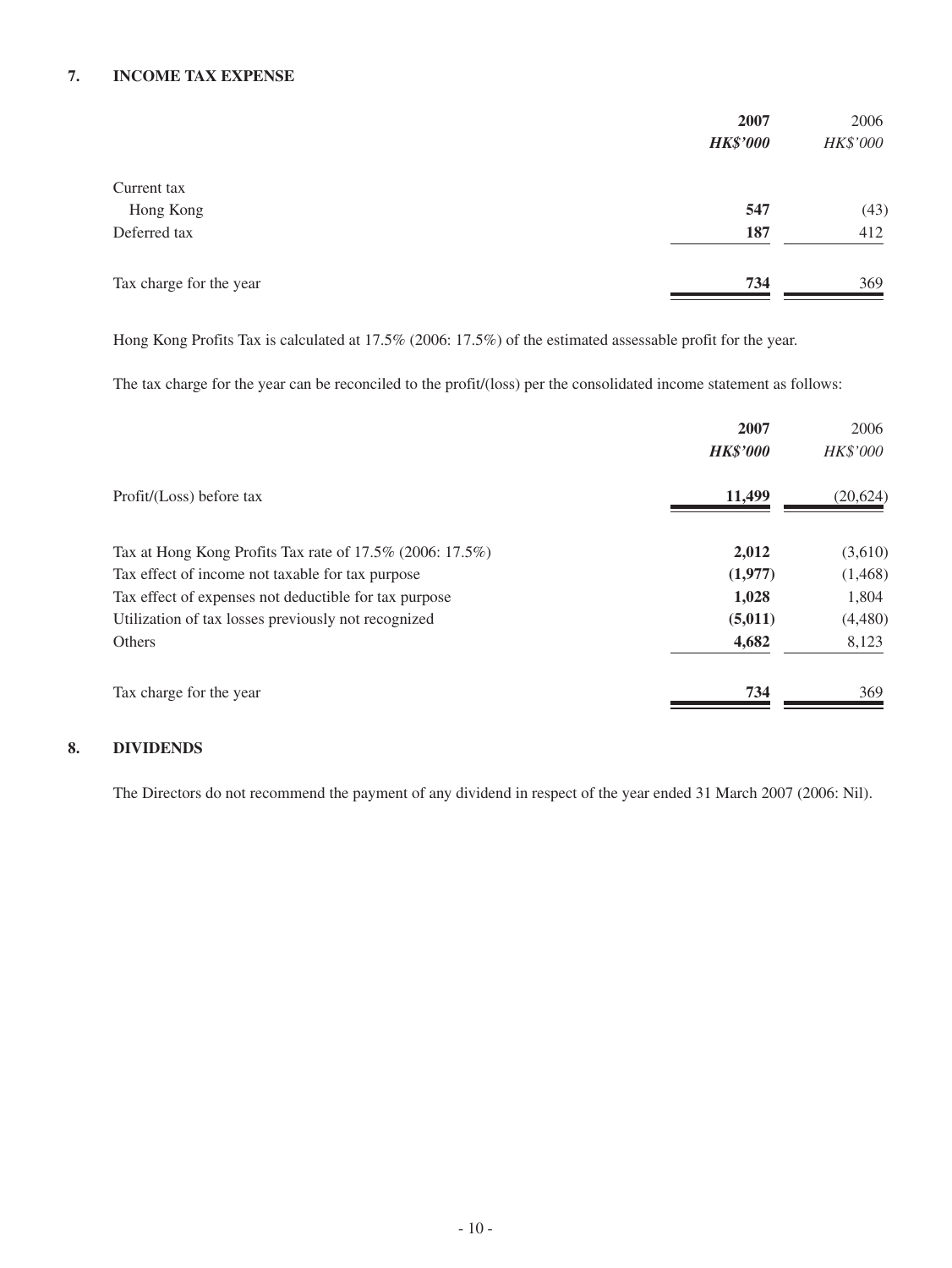### **7. INCOME TAX EXPENSE**

|                         | 2007            | 2006     |
|-------------------------|-----------------|----------|
|                         | <b>HK\$'000</b> | HK\$'000 |
| Current tax             |                 |          |
| Hong Kong               | 547             | (43)     |
| Deferred tax            | 187             | 412      |
| Tax charge for the year | 734             | 369      |

Hong Kong Profits Tax is calculated at 17.5% (2006: 17.5%) of the estimated assessable profit for the year.

The tax charge for the year can be reconciled to the profit/(loss) per the consolidated income statement as follows:

|                                                          | 2007            | 2006      |
|----------------------------------------------------------|-----------------|-----------|
|                                                          | <b>HK\$'000</b> | HK\$'000  |
| Profit/(Loss) before tax                                 | 11,499          | (20, 624) |
| Tax at Hong Kong Profits Tax rate of 17.5% (2006: 17.5%) | 2,012           | (3,610)   |
| Tax effect of income not taxable for tax purpose         | (1,977)         | (1,468)   |
| Tax effect of expenses not deductible for tax purpose    | 1,028           | 1,804     |
| Utilization of tax losses previously not recognized      | (5,011)         | (4,480)   |
| Others                                                   | 4,682           | 8,123     |
| Tax charge for the year                                  | 734             | 369       |

# **8. DIVIDENDS**

The Directors do not recommend the payment of any dividend in respect of the year ended 31 March 2007 (2006: Nil).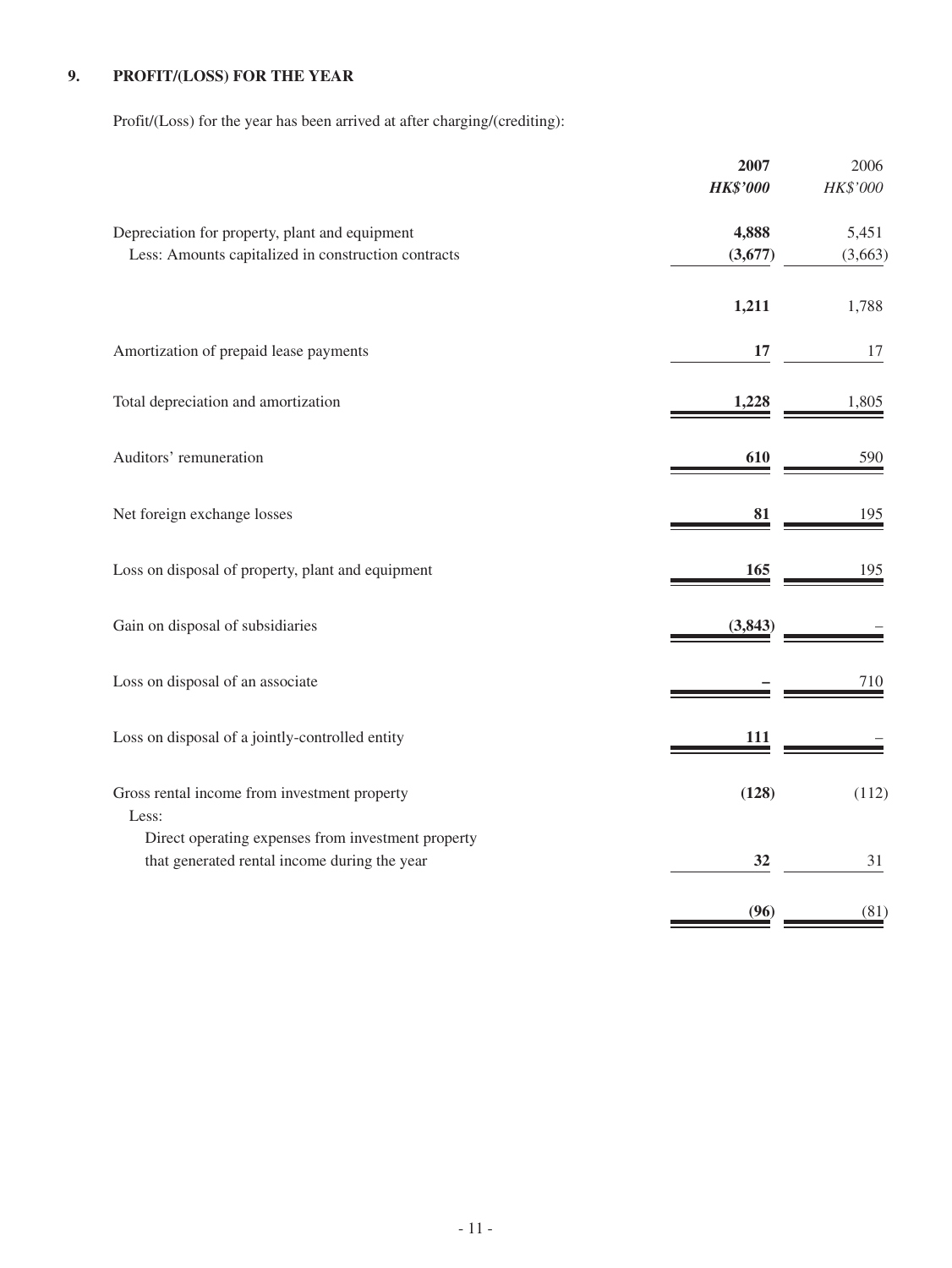# **9. PROFIT/(LOSS) FOR THE YEAR**

Profit/(Loss) for the year has been arrived at after charging/(crediting):

|                                                                                                       | 2007<br><b>HK\$'000</b> | 2006<br>HK\$'000 |
|-------------------------------------------------------------------------------------------------------|-------------------------|------------------|
| Depreciation for property, plant and equipment<br>Less: Amounts capitalized in construction contracts | 4,888<br>(3,677)        | 5,451<br>(3,663) |
|                                                                                                       | 1,211                   | 1,788            |
| Amortization of prepaid lease payments                                                                | 17                      | 17               |
| Total depreciation and amortization                                                                   | 1,228                   | 1,805            |
| Auditors' remuneration                                                                                | 610                     | 590              |
| Net foreign exchange losses                                                                           | 81                      | 195              |
| Loss on disposal of property, plant and equipment                                                     | 165                     | 195              |
| Gain on disposal of subsidiaries                                                                      | (3,843)                 |                  |
| Loss on disposal of an associate                                                                      |                         | 710              |
| Loss on disposal of a jointly-controlled entity                                                       | 111                     |                  |
| Gross rental income from investment property<br>Less:                                                 | (128)                   | (112)            |
| Direct operating expenses from investment property<br>that generated rental income during the year    | 32                      | 31               |
|                                                                                                       | (96)                    | (81)             |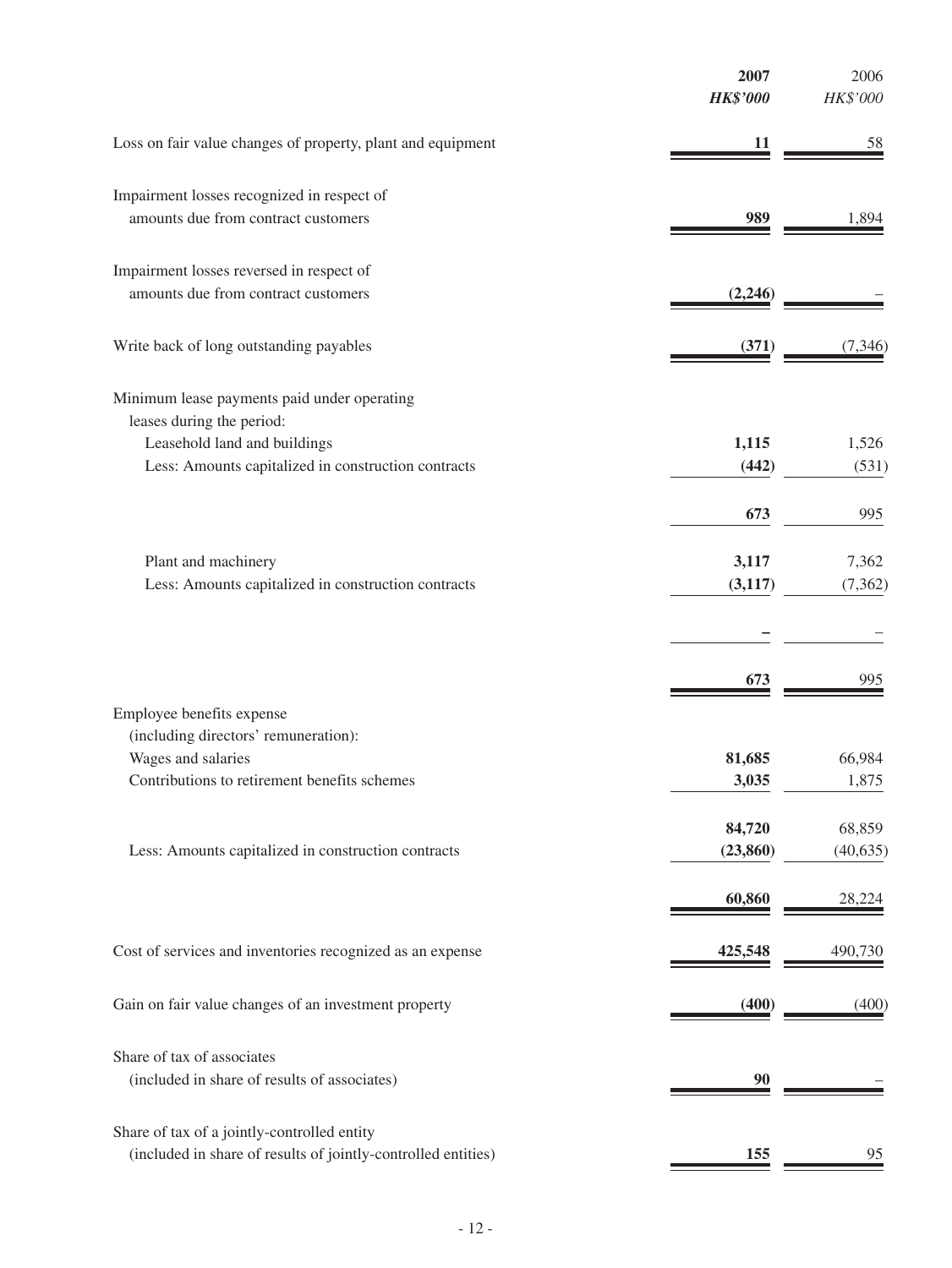|                                                                                                              | 2007<br><b>HK\$'000</b> | 2006<br>HK\$'000 |
|--------------------------------------------------------------------------------------------------------------|-------------------------|------------------|
| Loss on fair value changes of property, plant and equipment                                                  | 11                      | 58               |
| Impairment losses recognized in respect of                                                                   |                         |                  |
| amounts due from contract customers                                                                          | 989                     | 1,894            |
| Impairment losses reversed in respect of                                                                     |                         |                  |
| amounts due from contract customers                                                                          | (2,246)                 |                  |
| Write back of long outstanding payables                                                                      | (371)                   | (7,346)          |
| Minimum lease payments paid under operating<br>leases during the period:                                     |                         |                  |
| Leasehold land and buildings                                                                                 | 1,115                   | 1,526            |
| Less: Amounts capitalized in construction contracts                                                          | (442)                   | (531)            |
|                                                                                                              | 673                     | 995              |
| Plant and machinery                                                                                          | 3,117                   | 7,362            |
| Less: Amounts capitalized in construction contracts                                                          | (3, 117)                | (7, 362)         |
|                                                                                                              |                         |                  |
|                                                                                                              | 673                     | 995              |
| Employee benefits expense                                                                                    |                         |                  |
| (including directors' remuneration):<br>Wages and salaries                                                   | 81,685                  | 66,984           |
| Contributions to retirement benefits schemes                                                                 | 3,035                   | 1,875            |
|                                                                                                              | 84,720                  | 68,859           |
| Less: Amounts capitalized in construction contracts                                                          | (23, 860)               | (40, 635)        |
|                                                                                                              | 60,860                  | 28,224           |
| Cost of services and inventories recognized as an expense                                                    | 425,548                 | 490,730          |
| Gain on fair value changes of an investment property                                                         | (400)                   | (400)            |
| Share of tax of associates                                                                                   |                         |                  |
| (included in share of results of associates)                                                                 |                         |                  |
|                                                                                                              |                         |                  |
| Share of tax of a jointly-controlled entity<br>(included in share of results of jointly-controlled entities) | 155                     | 95               |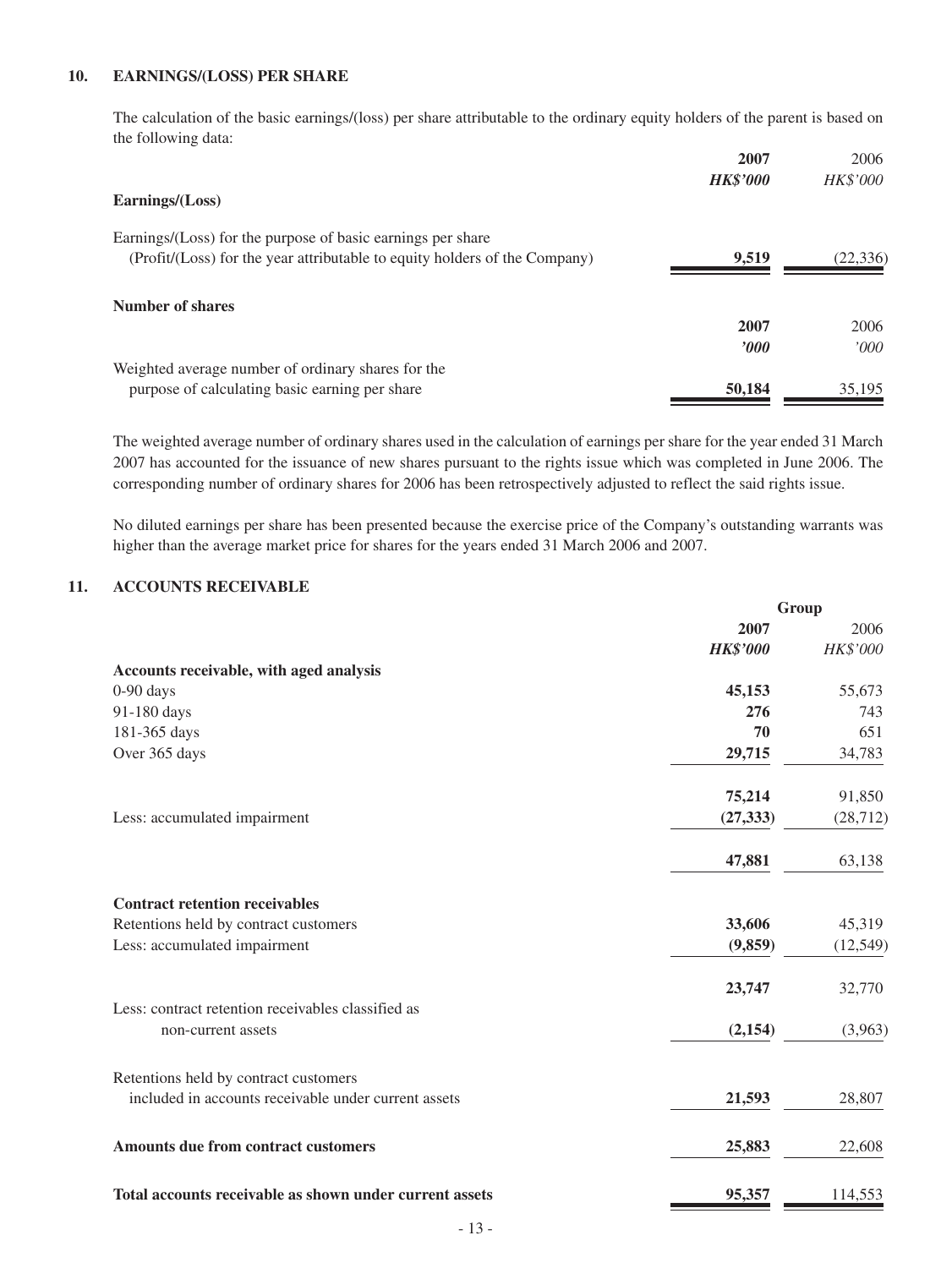#### **10. EARNINGS/(LOSS) PER SHARE**

The calculation of the basic earnings/(loss) per share attributable to the ordinary equity holders of the parent is based on the following data:

|                                                                            | 2007            | 2006      |
|----------------------------------------------------------------------------|-----------------|-----------|
|                                                                            | <b>HK\$'000</b> | HK\$'000  |
| Earnings/(Loss)                                                            |                 |           |
| Earnings/(Loss) for the purpose of basic earnings per share                |                 |           |
| (Profit/(Loss) for the year attributable to equity holders of the Company) | 9,519           | (22, 336) |
| Number of shares                                                           |                 |           |
|                                                                            | 2007            | 2006      |
|                                                                            | $\bm{v}$        | 000'      |
| Weighted average number of ordinary shares for the                         |                 |           |
| purpose of calculating basic earning per share                             | 50,184          | 35,195    |

The weighted average number of ordinary shares used in the calculation of earnings per share for the year ended 31 March 2007 has accounted for the issuance of new shares pursuant to the rights issue which was completed in June 2006. The corresponding number of ordinary shares for 2006 has been retrospectively adjusted to reflect the said rights issue.

No diluted earnings per share has been presented because the exercise price of the Company's outstanding warrants was higher than the average market price for shares for the years ended 31 March 2006 and 2007.

#### **11. ACCOUNTS RECEIVABLE**

|                                                         | Group           |           |
|---------------------------------------------------------|-----------------|-----------|
|                                                         | 2007            | 2006      |
|                                                         | <b>HK\$'000</b> | HK\$'000  |
| Accounts receivable, with aged analysis                 |                 |           |
| $0-90$ days                                             | 45,153          | 55,673    |
| 91-180 days                                             | 276             | 743       |
| 181-365 days                                            | 70              | 651       |
| Over 365 days                                           | 29,715          | 34,783    |
|                                                         | 75,214          | 91,850    |
| Less: accumulated impairment                            | (27, 333)       | (28, 712) |
|                                                         | 47,881          | 63,138    |
| <b>Contract retention receivables</b>                   |                 |           |
| Retentions held by contract customers                   | 33,606          | 45,319    |
| Less: accumulated impairment                            | (9,859)         | (12, 549) |
|                                                         | 23,747          | 32,770    |
| Less: contract retention receivables classified as      |                 |           |
| non-current assets                                      | (2,154)         | (3,963)   |
| Retentions held by contract customers                   |                 |           |
| included in accounts receivable under current assets    | 21,593          | 28,807    |
| Amounts due from contract customers                     | 25,883          | 22,608    |
| Total accounts receivable as shown under current assets | 95,357          | 114,553   |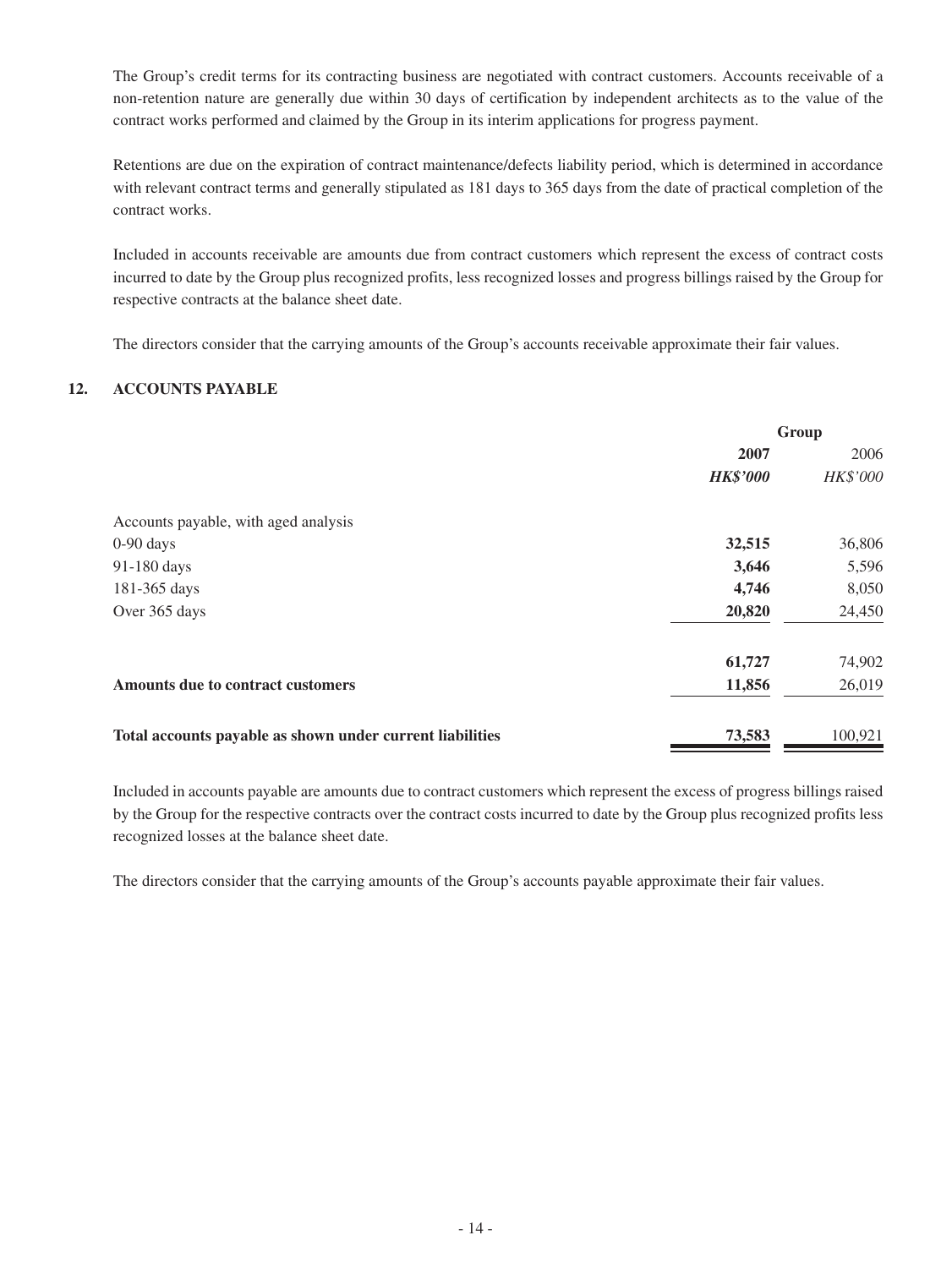The Group's credit terms for its contracting business are negotiated with contract customers. Accounts receivable of a non-retention nature are generally due within 30 days of certification by independent architects as to the value of the contract works performed and claimed by the Group in its interim applications for progress payment.

Retentions are due on the expiration of contract maintenance/defects liability period, which is determined in accordance with relevant contract terms and generally stipulated as 181 days to 365 days from the date of practical completion of the contract works.

Included in accounts receivable are amounts due from contract customers which represent the excess of contract costs incurred to date by the Group plus recognized profits, less recognized losses and progress billings raised by the Group for respective contracts at the balance sheet date.

The directors consider that the carrying amounts of the Group's accounts receivable approximate their fair values.

#### **12. ACCOUNTS PAYABLE**

| 2006     |
|----------|
|          |
| HK\$'000 |
|          |
| 36,806   |
| 5,596    |
| 8,050    |
| 24,450   |
| 74,902   |
| 26,019   |
| 100,921  |
|          |

Included in accounts payable are amounts due to contract customers which represent the excess of progress billings raised by the Group for the respective contracts over the contract costs incurred to date by the Group plus recognized profits less recognized losses at the balance sheet date.

The directors consider that the carrying amounts of the Group's accounts payable approximate their fair values.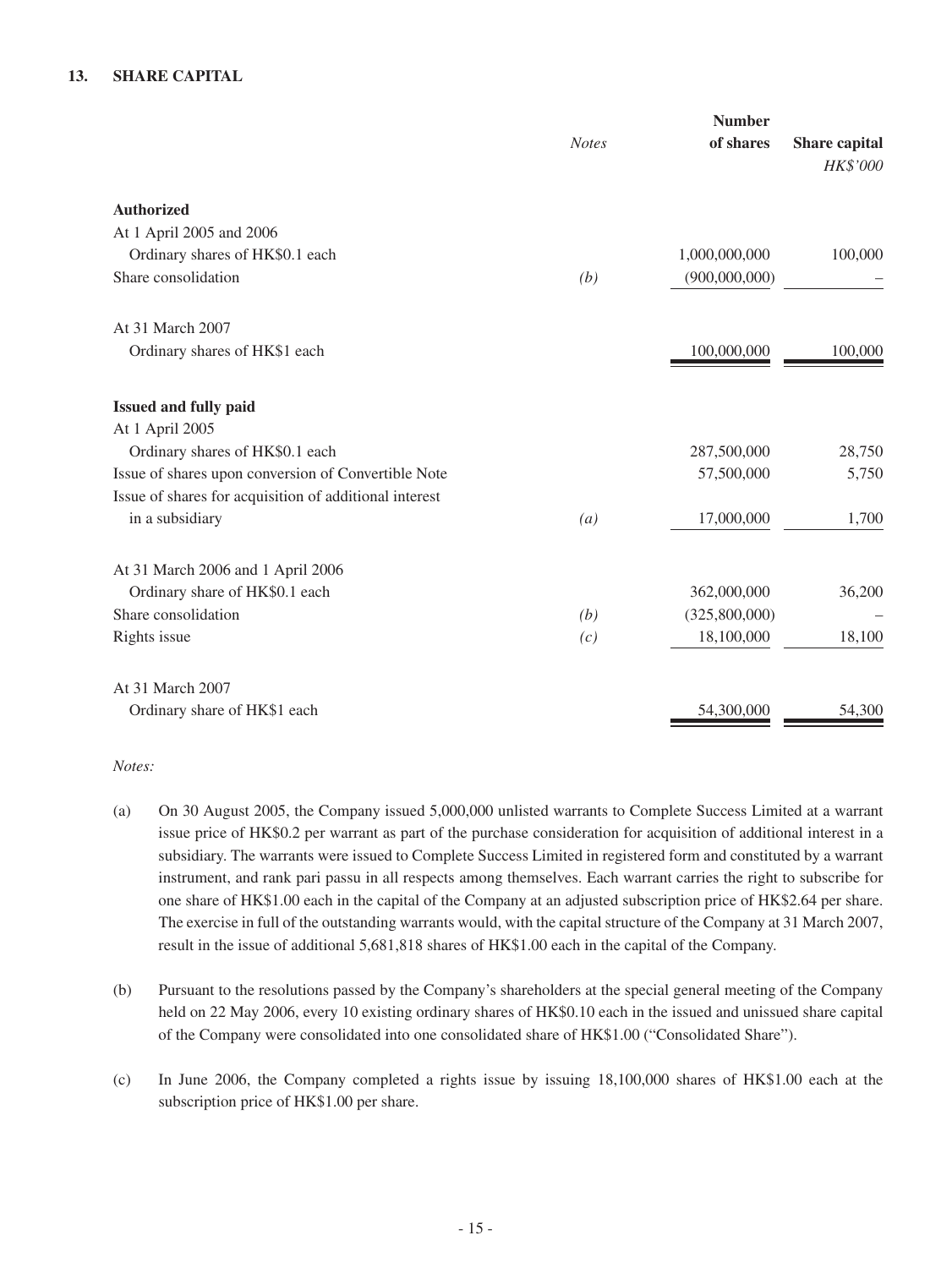#### **13. SHARE CAPITAL**

|                                                        | <b>Number</b>    |               |                                  |
|--------------------------------------------------------|------------------|---------------|----------------------------------|
|                                                        | <b>Notes</b>     | of shares     | Share capital<br><b>HK\$'000</b> |
| <b>Authorized</b>                                      |                  |               |                                  |
| At 1 April 2005 and 2006                               |                  |               |                                  |
| Ordinary shares of HK\$0.1 each                        |                  | 1,000,000,000 | 100,000                          |
| Share consolidation                                    | (b)              | (900,000,000) |                                  |
| At 31 March 2007                                       |                  |               |                                  |
| Ordinary shares of HK\$1 each                          |                  | 100,000,000   | 100,000                          |
| Issued and fully paid                                  |                  |               |                                  |
| At 1 April 2005                                        |                  |               |                                  |
| Ordinary shares of HK\$0.1 each                        |                  | 287,500,000   | 28,750                           |
| Issue of shares upon conversion of Convertible Note    |                  | 57,500,000    | 5,750                            |
| Issue of shares for acquisition of additional interest |                  |               |                                  |
| in a subsidiary                                        | $\left(a\right)$ | 17,000,000    | 1,700                            |
| At 31 March 2006 and 1 April 2006                      |                  |               |                                  |
| Ordinary share of HK\$0.1 each                         |                  | 362,000,000   | 36,200                           |
| Share consolidation                                    | (b)              | (325,800,000) |                                  |
| Rights issue                                           | (c)              | 18,100,000    | 18,100                           |
| At 31 March 2007                                       |                  |               |                                  |
| Ordinary share of HK\$1 each                           |                  | 54,300,000    | 54,300                           |

*Notes:*

- (a) On 30 August 2005, the Company issued 5,000,000 unlisted warrants to Complete Success Limited at a warrant issue price of HK\$0.2 per warrant as part of the purchase consideration for acquisition of additional interest in a subsidiary. The warrants were issued to Complete Success Limited in registered form and constituted by a warrant instrument, and rank pari passu in all respects among themselves. Each warrant carries the right to subscribe for one share of HK\$1.00 each in the capital of the Company at an adjusted subscription price of HK\$2.64 per share. The exercise in full of the outstanding warrants would, with the capital structure of the Company at 31 March 2007, result in the issue of additional 5,681,818 shares of HK\$1.00 each in the capital of the Company.
- (b) Pursuant to the resolutions passed by the Company's shareholders at the special general meeting of the Company held on 22 May 2006, every 10 existing ordinary shares of HK\$0.10 each in the issued and unissued share capital of the Company were consolidated into one consolidated share of HK\$1.00 ("Consolidated Share").
- (c) In June 2006, the Company completed a rights issue by issuing 18,100,000 shares of HK\$1.00 each at the subscription price of HK\$1.00 per share.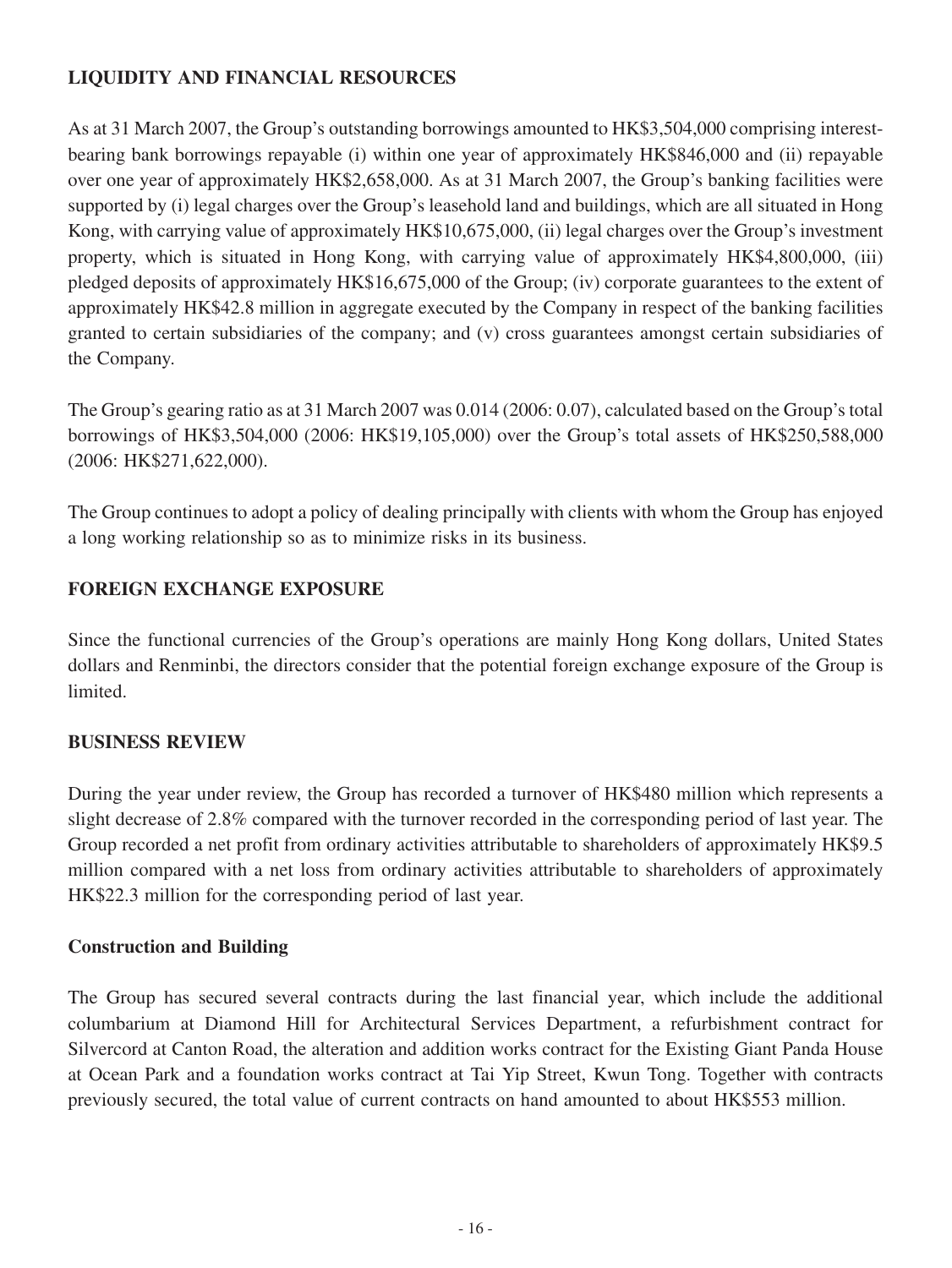# **LIQUIDITY AND FINANCIAL RESOURCES**

As at 31 March 2007, the Group's outstanding borrowings amounted to HK\$3,504,000 comprising interestbearing bank borrowings repayable (i) within one year of approximately HK\$846,000 and (ii) repayable over one year of approximately HK\$2,658,000. As at 31 March 2007, the Group's banking facilities were supported by (i) legal charges over the Group's leasehold land and buildings, which are all situated in Hong Kong, with carrying value of approximately HK\$10,675,000, (ii) legal charges over the Group's investment property, which is situated in Hong Kong, with carrying value of approximately HK\$4,800,000, (iii) pledged deposits of approximately HK\$16,675,000 of the Group; (iv) corporate guarantees to the extent of approximately HK\$42.8 million in aggregate executed by the Company in respect of the banking facilities granted to certain subsidiaries of the company; and (v) cross guarantees amongst certain subsidiaries of the Company.

The Group's gearing ratio as at 31 March 2007 was 0.014 (2006: 0.07), calculated based on the Group's total borrowings of HK\$3,504,000 (2006: HK\$19,105,000) over the Group's total assets of HK\$250,588,000 (2006: HK\$271,622,000).

The Group continues to adopt a policy of dealing principally with clients with whom the Group has enjoyed a long working relationship so as to minimize risks in its business.

# **FOREIGN EXCHANGE EXPOSURE**

Since the functional currencies of the Group's operations are mainly Hong Kong dollars, United States dollars and Renminbi, the directors consider that the potential foreign exchange exposure of the Group is limited.

# **BUSINESS REVIEW**

During the year under review, the Group has recorded a turnover of HK\$480 million which represents a slight decrease of 2.8% compared with the turnover recorded in the corresponding period of last year. The Group recorded a net profit from ordinary activities attributable to shareholders of approximately HK\$9.5 million compared with a net loss from ordinary activities attributable to shareholders of approximately HK\$22.3 million for the corresponding period of last year.

# **Construction and Building**

The Group has secured several contracts during the last financial year, which include the additional columbarium at Diamond Hill for Architectural Services Department, a refurbishment contract for Silvercord at Canton Road, the alteration and addition works contract for the Existing Giant Panda House at Ocean Park and a foundation works contract at Tai Yip Street, Kwun Tong. Together with contracts previously secured, the total value of current contracts on hand amounted to about HK\$553 million.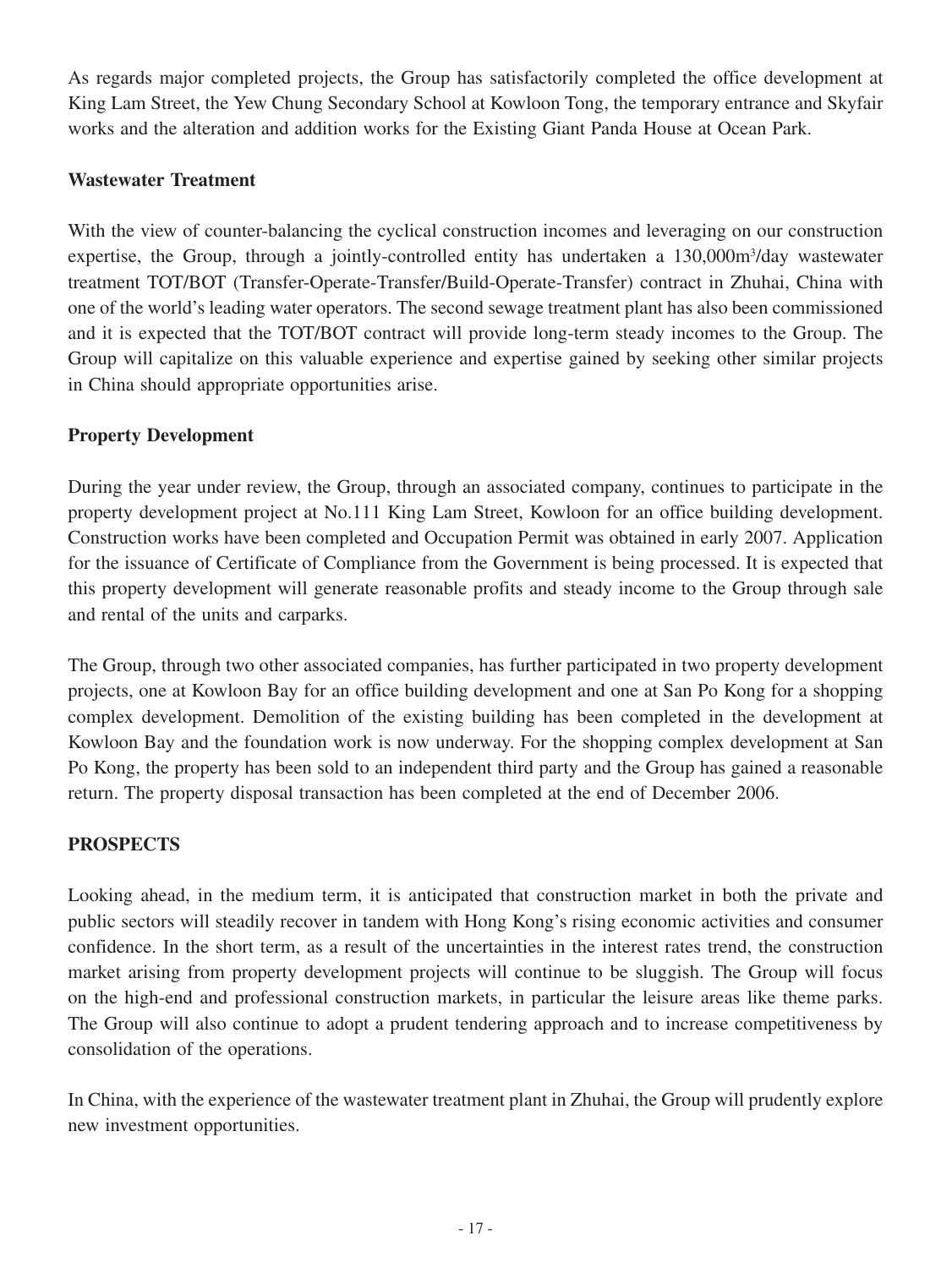As regards major completed projects, the Group has satisfactorily completed the office development at King Lam Street, the Yew Chung Secondary School at Kowloon Tong, the temporary entrance and Skyfair works and the alteration and addition works for the Existing Giant Panda House at Ocean Park.

## **Wastewater Treatment**

With the view of counter-balancing the cyclical construction incomes and leveraging on our construction expertise, the Group, through a jointly-controlled entity has undertaken a 130,000m<sup>3</sup>/day wastewater treatment TOT/BOT (Transfer-Operate-Transfer/Build-Operate-Transfer) contract in Zhuhai, China with one of the world's leading water operators. The second sewage treatment plant has also been commissioned and it is expected that the TOT/BOT contract will provide long-term steady incomes to the Group. The Group will capitalize on this valuable experience and expertise gained by seeking other similar projects in China should appropriate opportunities arise.

## **Property Development**

During the year under review, the Group, through an associated company, continues to participate in the property development project at No.111 King Lam Street, Kowloon for an office building development. Construction works have been completed and Occupation Permit was obtained in early 2007. Application for the issuance of Certificate of Compliance from the Government is being processed. It is expected that this property development will generate reasonable profits and steady income to the Group through sale and rental of the units and carparks.

The Group, through two other associated companies, has further participated in two property development projects, one at Kowloon Bay for an office building development and one at San Po Kong for a shopping complex development. Demolition of the existing building has been completed in the development at Kowloon Bay and the foundation work is now underway. For the shopping complex development at San Po Kong, the property has been sold to an independent third party and the Group has gained a reasonable return. The property disposal transaction has been completed at the end of December 2006.

### **PROSPECTS**

Looking ahead, in the medium term, it is anticipated that construction market in both the private and public sectors will steadily recover in tandem with Hong Kong's rising economic activities and consumer confidence. In the short term, as a result of the uncertainties in the interest rates trend, the construction market arising from property development projects will continue to be sluggish. The Group will focus on the high-end and professional construction markets, in particular the leisure areas like theme parks. The Group will also continue to adopt a prudent tendering approach and to increase competitiveness by consolidation of the operations.

In China, with the experience of the wastewater treatment plant in Zhuhai, the Group will prudently explore new investment opportunities.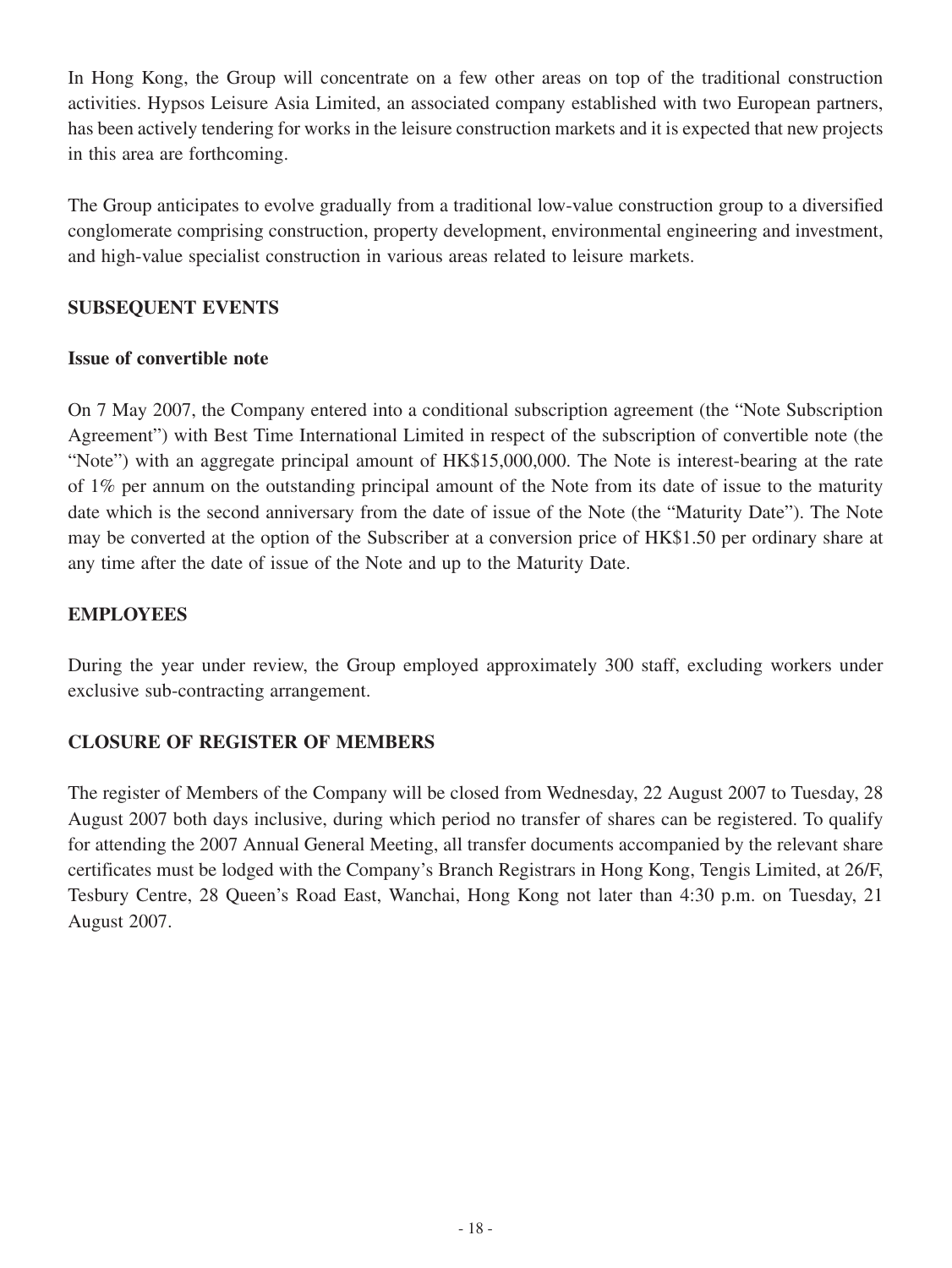In Hong Kong, the Group will concentrate on a few other areas on top of the traditional construction activities. Hypsos Leisure Asia Limited, an associated company established with two European partners, has been actively tendering for works in the leisure construction markets and it is expected that new projects in this area are forthcoming.

The Group anticipates to evolve gradually from a traditional low-value construction group to a diversified conglomerate comprising construction, property development, environmental engineering and investment, and high-value specialist construction in various areas related to leisure markets.

# **SUBSEQUENT EVENTS**

# **Issue of convertible note**

On 7 May 2007, the Company entered into a conditional subscription agreement (the "Note Subscription Agreement") with Best Time International Limited in respect of the subscription of convertible note (the "Note") with an aggregate principal amount of HK\$15,000,000. The Note is interest-bearing at the rate of 1% per annum on the outstanding principal amount of the Note from its date of issue to the maturity date which is the second anniversary from the date of issue of the Note (the "Maturity Date"). The Note may be converted at the option of the Subscriber at a conversion price of HK\$1.50 per ordinary share at any time after the date of issue of the Note and up to the Maturity Date.

# **EMPLOYEES**

During the year under review, the Group employed approximately 300 staff, excluding workers under exclusive sub-contracting arrangement.

# **CLOSURE OF REGISTER OF MEMBERS**

The register of Members of the Company will be closed from Wednesday, 22 August 2007 to Tuesday, 28 August 2007 both days inclusive, during which period no transfer of shares can be registered. To qualify for attending the 2007 Annual General Meeting, all transfer documents accompanied by the relevant share certificates must be lodged with the Company's Branch Registrars in Hong Kong, Tengis Limited, at 26/F, Tesbury Centre, 28 Queen's Road East, Wanchai, Hong Kong not later than 4:30 p.m. on Tuesday, 21 August 2007.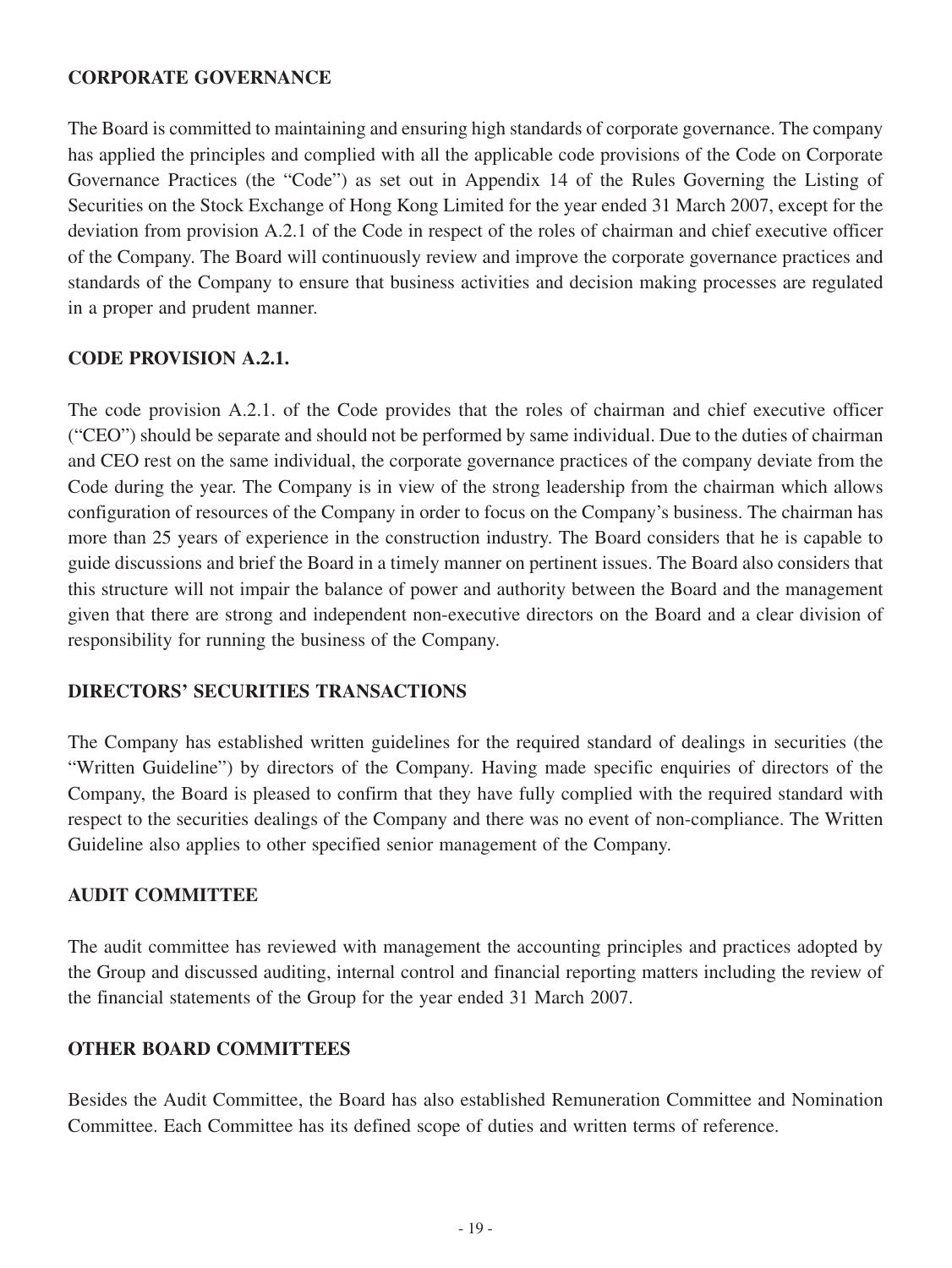## **CORPORATE GOVERNANCE**

The Board is committed to maintaining and ensuring high standards of corporate governance. The company has applied the principles and complied with all the applicable code provisions of the Code on Corporate Governance Practices (the "Code") as set out in Appendix 14 of the Rules Governing the Listing of Securities on the Stock Exchange of Hong Kong Limited for the year ended 31 March 2007, except for the deviation from provision A.2.1 of the Code in respect of the roles of chairman and chief executive officer of the Company. The Board will continuously review and improve the corporate governance practices and standards of the Company to ensure that business activities and decision making processes are regulated in a proper and prudent manner.

## **Code provision A.2.1.**

The code provision A.2.1. of the Code provides that the roles of chairman and chief executive officer ("CEO") should be separate and should not be performed by same individual. Due to the duties of chairman and CEO rest on the same individual, the corporate governance practices of the company deviate from the Code during the year. The Company is in view of the strong leadership from the chairman which allows configuration of resources of the Company in order to focus on the Company's business. The chairman has more than 25 years of experience in the construction industry. The Board considers that he is capable to guide discussions and brief the Board in a timely manner on pertinent issues. The Board also considers that this structure will not impair the balance of power and authority between the Board and the management given that there are strong and independent non-executive directors on the Board and a clear division of responsibility for running the business of the Company.

# **DIRECTORS' SECURITIES TRANSACTIONS**

The Company has established written guidelines for the required standard of dealings in securities (the "Written Guideline") by directors of the Company. Having made specific enquiries of directors of the Company, the Board is pleased to confirm that they have fully complied with the required standard with respect to the securities dealings of the Company and there was no event of non-compliance. The Written Guideline also applies to other specified senior management of the Company.

# **AUDIT COMMITTEE**

The audit committee has reviewed with management the accounting principles and practices adopted by the Group and discussed auditing, internal control and financial reporting matters including the review of the financial statements of the Group for the year ended 31 March 2007.

### **OTHER BOARD COMMITTEES**

Besides the Audit Committee, the Board has also established Remuneration Committee and Nomination Committee. Each Committee has its defined scope of duties and written terms of reference.